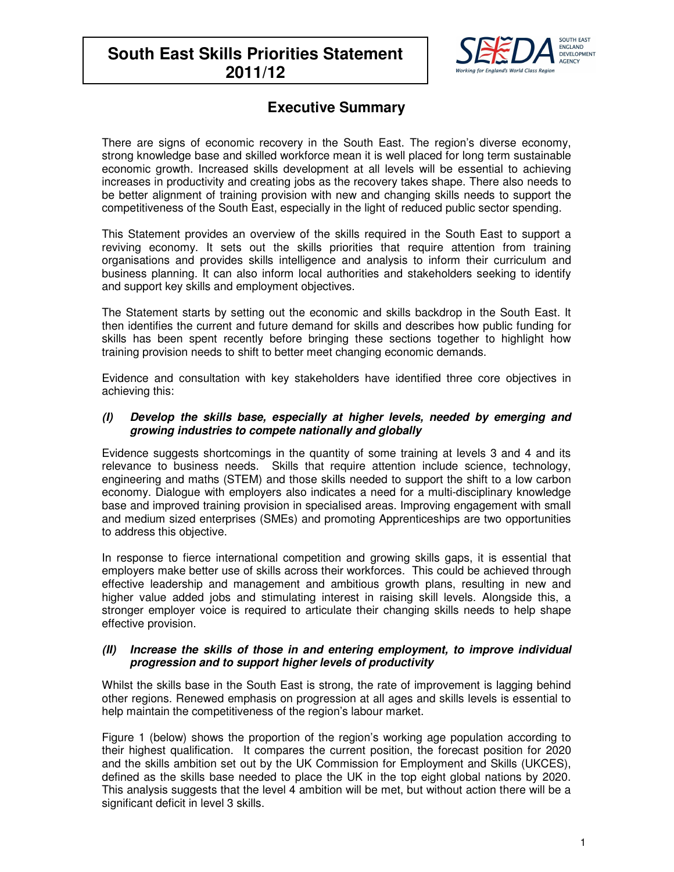# **South East Skills Priorities Statement 2011/12**



## **Executive Summary**

There are signs of economic recovery in the South East. The region's diverse economy, strong knowledge base and skilled workforce mean it is well placed for long term sustainable economic growth. Increased skills development at all levels will be essential to achieving increases in productivity and creating jobs as the recovery takes shape. There also needs to be better alignment of training provision with new and changing skills needs to support the competitiveness of the South East, especially in the light of reduced public sector spending.

This Statement provides an overview of the skills required in the South East to support a reviving economy. It sets out the skills priorities that require attention from training organisations and provides skills intelligence and analysis to inform their curriculum and business planning. It can also inform local authorities and stakeholders seeking to identify and support key skills and employment objectives.

The Statement starts by setting out the economic and skills backdrop in the South East. It then identifies the current and future demand for skills and describes how public funding for skills has been spent recently before bringing these sections together to highlight how training provision needs to shift to better meet changing economic demands.

Evidence and consultation with key stakeholders have identified three core objectives in achieving this:

#### **(I) Develop the skills base, especially at higher levels, needed by emerging and growing industries to compete nationally and globally**

Evidence suggests shortcomings in the quantity of some training at levels 3 and 4 and its relevance to business needs. Skills that require attention include science, technology, engineering and maths (STEM) and those skills needed to support the shift to a low carbon economy. Dialogue with employers also indicates a need for a multi-disciplinary knowledge base and improved training provision in specialised areas. Improving engagement with small and medium sized enterprises (SMEs) and promoting Apprenticeships are two opportunities to address this objective.

In response to fierce international competition and growing skills gaps, it is essential that employers make better use of skills across their workforces. This could be achieved through effective leadership and management and ambitious growth plans, resulting in new and higher value added jobs and stimulating interest in raising skill levels. Alongside this, a stronger employer voice is required to articulate their changing skills needs to help shape effective provision.

#### **(II) Increase the skills of those in and entering employment, to improve individual progression and to support higher levels of productivity**

Whilst the skills base in the South East is strong, the rate of improvement is lagging behind other regions. Renewed emphasis on progression at all ages and skills levels is essential to help maintain the competitiveness of the region's labour market.

Figure 1 (below) shows the proportion of the region's working age population according to their highest qualification. It compares the current position, the forecast position for 2020 and the skills ambition set out by the UK Commission for Employment and Skills (UKCES), defined as the skills base needed to place the UK in the top eight global nations by 2020. This analysis suggests that the level 4 ambition will be met, but without action there will be a significant deficit in level 3 skills.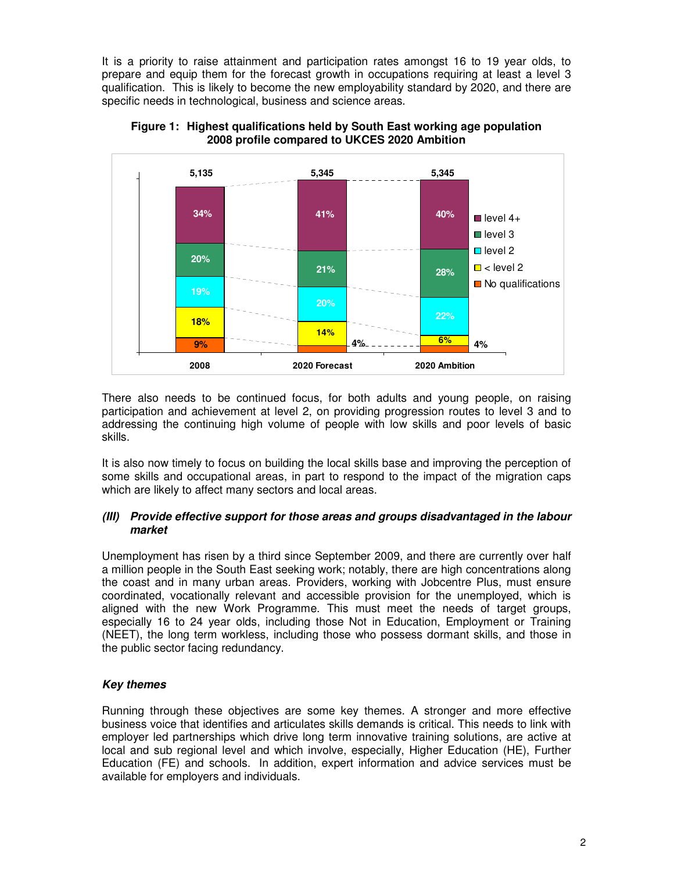It is a priority to raise attainment and participation rates amongst 16 to 19 year olds, to prepare and equip them for the forecast growth in occupations requiring at least a level 3 qualification. This is likely to become the new employability standard by 2020, and there are specific needs in technological, business and science areas.



**Figure 1: Highest qualifications held by South East working age population 2008 profile compared to UKCES 2020 Ambition** 

There also needs to be continued focus, for both adults and young people, on raising participation and achievement at level 2, on providing progression routes to level 3 and to addressing the continuing high volume of people with low skills and poor levels of basic skills.

It is also now timely to focus on building the local skills base and improving the perception of some skills and occupational areas, in part to respond to the impact of the migration caps which are likely to affect many sectors and local areas.

#### **(III) Provide effective support for those areas and groups disadvantaged in the labour market**

Unemployment has risen by a third since September 2009, and there are currently over half a million people in the South East seeking work; notably, there are high concentrations along the coast and in many urban areas. Providers, working with Jobcentre Plus, must ensure coordinated, vocationally relevant and accessible provision for the unemployed, which is aligned with the new Work Programme. This must meet the needs of target groups, especially 16 to 24 year olds, including those Not in Education, Employment or Training (NEET), the long term workless, including those who possess dormant skills, and those in the public sector facing redundancy.

## **Key themes**

Running through these objectives are some key themes. A stronger and more effective business voice that identifies and articulates skills demands is critical. This needs to link with employer led partnerships which drive long term innovative training solutions, are active at local and sub regional level and which involve, especially, Higher Education (HE), Further Education (FE) and schools. In addition, expert information and advice services must be available for employers and individuals.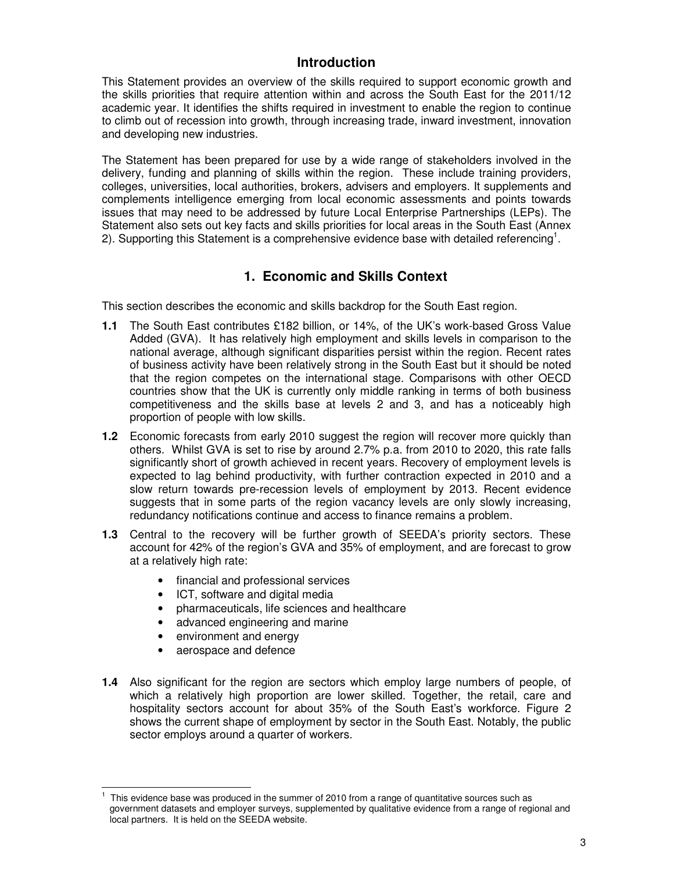## **Introduction**

This Statement provides an overview of the skills required to support economic growth and the skills priorities that require attention within and across the South East for the 2011/12 academic year. It identifies the shifts required in investment to enable the region to continue to climb out of recession into growth, through increasing trade, inward investment, innovation and developing new industries.

The Statement has been prepared for use by a wide range of stakeholders involved in the delivery, funding and planning of skills within the region. These include training providers, colleges, universities, local authorities, brokers, advisers and employers. It supplements and complements intelligence emerging from local economic assessments and points towards issues that may need to be addressed by future Local Enterprise Partnerships (LEPs). The Statement also sets out key facts and skills priorities for local areas in the South East (Annex 2). Supporting this Statement is a comprehensive evidence base with detailed referencing<sup>1</sup>.

## **1. Economic and Skills Context**

This section describes the economic and skills backdrop for the South East region.

- **1.1** The South East contributes £182 billion, or 14%, of the UK's work-based Gross Value Added (GVA). It has relatively high employment and skills levels in comparison to the national average, although significant disparities persist within the region. Recent rates of business activity have been relatively strong in the South East but it should be noted that the region competes on the international stage. Comparisons with other OECD countries show that the UK is currently only middle ranking in terms of both business competitiveness and the skills base at levels 2 and 3, and has a noticeably high proportion of people with low skills.
- **1.2** Economic forecasts from early 2010 suggest the region will recover more quickly than others. Whilst GVA is set to rise by around 2.7% p.a. from 2010 to 2020, this rate falls significantly short of growth achieved in recent years. Recovery of employment levels is expected to lag behind productivity, with further contraction expected in 2010 and a slow return towards pre-recession levels of employment by 2013. Recent evidence suggests that in some parts of the region vacancy levels are only slowly increasing, redundancy notifications continue and access to finance remains a problem.
- **1.3** Central to the recovery will be further growth of SEEDA's priority sectors. These account for 42% of the region's GVA and 35% of employment, and are forecast to grow at a relatively high rate:
	- financial and professional services
	- ICT, software and digital media
	- pharmaceuticals, life sciences and healthcare
	- advanced engineering and marine
	- environment and energy
	- aerospace and defence
- **1.4** Also significant for the region are sectors which employ large numbers of people, of which a relatively high proportion are lower skilled. Together, the retail, care and hospitality sectors account for about 35% of the South East's workforce. Figure 2 shows the current shape of employment by sector in the South East. Notably, the public sector employs around a quarter of workers.

 $\overline{a}$ 1 This evidence base was produced in the summer of 2010 from a range of quantitative sources such as government datasets and employer surveys, supplemented by qualitative evidence from a range of regional and local partners. It is held on the SEEDA website.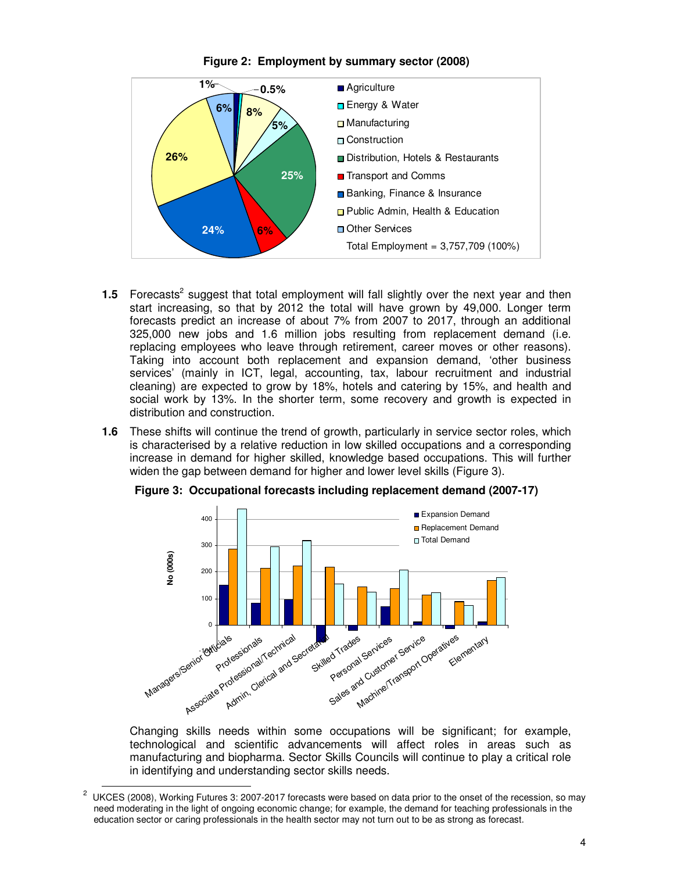

**Figure 2: Employment by summary sector (2008)** 

- **1.5** Forecasts<sup>2</sup> suggest that total employment will fall slightly over the next year and then start increasing, so that by 2012 the total will have grown by 49,000. Longer term forecasts predict an increase of about 7% from 2007 to 2017, through an additional 325,000 new jobs and 1.6 million jobs resulting from replacement demand (i.e. replacing employees who leave through retirement, career moves or other reasons). Taking into account both replacement and expansion demand, 'other business services' (mainly in ICT, legal, accounting, tax, labour recruitment and industrial cleaning) are expected to grow by 18%, hotels and catering by 15%, and health and social work by 13%. In the shorter term, some recovery and growth is expected in distribution and construction.
- **1.6** These shifts will continue the trend of growth, particularly in service sector roles, which is characterised by a relative reduction in low skilled occupations and a corresponding increase in demand for higher skilled, knowledge based occupations. This will further widen the gap between demand for higher and lower level skills (Figure 3).



**Figure 3: Occupational forecasts including replacement demand (2007-17)** 

Changing skills needs within some occupations will be significant; for example, technological and scientific advancements will affect roles in areas such as manufacturing and biopharma. Sector Skills Councils will continue to play a critical role in identifying and understanding sector skills needs.

 2 UKCES (2008), Working Futures 3: 2007-2017 forecasts were based on data prior to the onset of the recession, so may need moderating in the light of ongoing economic change; for example, the demand for teaching professionals in the education sector or caring professionals in the health sector may not turn out to be as strong as forecast.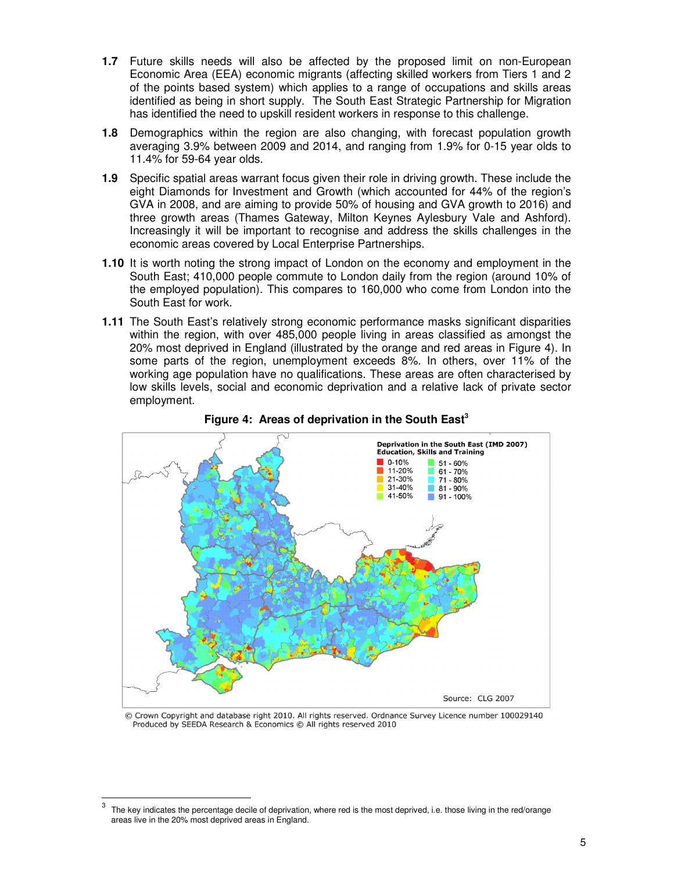- **1.7** Future skills needs will also be affected by the proposed limit on non-European Economic Area (EEA) economic migrants (affecting skilled workers from Tiers 1 and 2 of the points based system) which applies to a range of occupations and skills areas identified as being in short supply. The South East Strategic Partnership for Migration has identified the need to upskill resident workers in response to this challenge.
- **1.8** Demographics within the region are also changing, with forecast population growth averaging 3.9% between 2009 and 2014, and ranging from 1.9% for 0-15 year olds to 11.4% for 59-64 year olds.
- **1.9** Specific spatial areas warrant focus given their role in driving growth. These include the eight Diamonds for Investment and Growth (which accounted for 44% of the region's GVA in 2008, and are aiming to provide 50% of housing and GVA growth to 2016) and three growth areas (Thames Gateway, Milton Keynes Aylesbury Vale and Ashford). Increasingly it will be important to recognise and address the skills challenges in the economic areas covered by Local Enterprise Partnerships.
- **1.10** It is worth noting the strong impact of London on the economy and employment in the South East; 410,000 people commute to London daily from the region (around 10% of the employed population). This compares to 160,000 who come from London into the South East for work.
- **1.11** The South East's relatively strong economic performance masks significant disparities within the region, with over 485,000 people living in areas classified as amongst the 20% most deprived in England (illustrated by the orange and red areas in Figure 4). In some parts of the region, unemployment exceeds 8%. In others, over 11% of the working age population have no qualifications. These areas are often characterised by low skills levels, social and economic deprivation and a relative lack of private sector employment.



**Figure 4: Areas of deprivation in the South East<sup>3</sup>**

© Crown Copyright and database right 2010. All rights reserved. Ordnance Survey Licence number 100029140 Produced by SEEDA Research & Economics © All rights reserved 2010

 $\overline{a}$ 

<sup>3</sup> The key indicates the percentage decile of deprivation, where red is the most deprived, i.e. those living in the red/orange areas live in the 20% most deprived areas in England.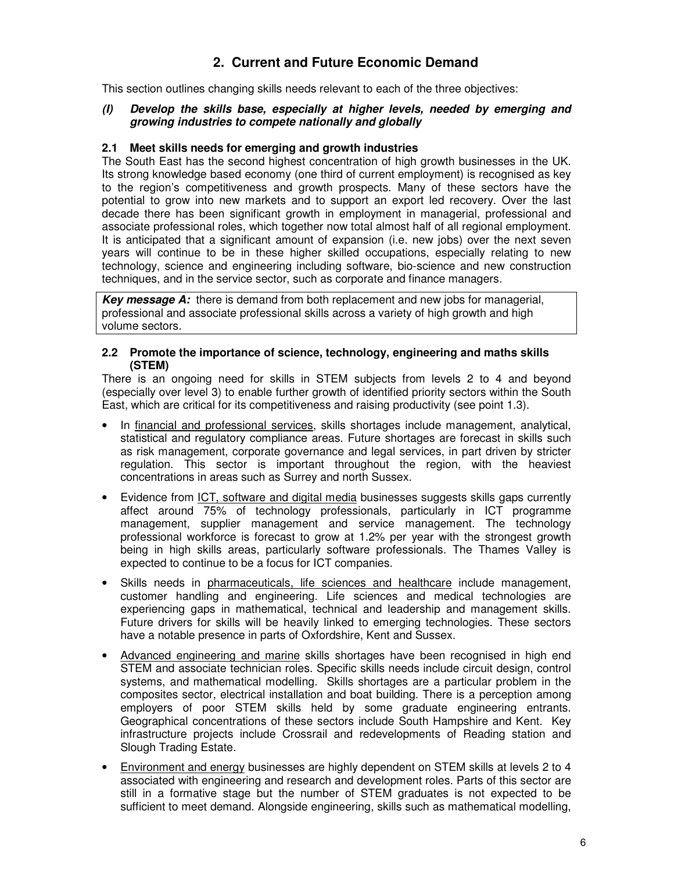## **2. Current and Future Economic Demand**

This section outlines changing skills needs relevant to each of the three objectives:

#### **(I) Develop the skills base, especially at higher levels, needed by emerging and growing industries to compete nationally and globally**

#### **2.1 Meet skills needs for emerging and growth industries**

The South East has the second highest concentration of high growth businesses in the UK. Its strong knowledge based economy (one third of current employment) is recognised as key to the region's competitiveness and growth prospects. Many of these sectors have the potential to grow into new markets and to support an export led recovery. Over the last decade there has been significant growth in employment in managerial, professional and associate professional roles, which together now total almost half of all regional employment. It is anticipated that a significant amount of expansion (i.e. new jobs) over the next seven years will continue to be in these higher skilled occupations, especially relating to new technology, science and engineering including software, bio-science and new construction techniques, and in the service sector, such as corporate and finance managers.

**Key message A:** there is demand from both replacement and new jobs for managerial, professional and associate professional skills across a variety of high growth and high volume sectors.

#### **2.2 Promote the importance of science, technology, engineering and maths skills (STEM)**

There is an ongoing need for skills in STEM subjects from levels 2 to 4 and beyond (especially over level 3) to enable further growth of identified priority sectors within the South East, which are critical for its competitiveness and raising productivity (see point 1.3).

- In financial and professional services, skills shortages include management, analytical, statistical and regulatory compliance areas. Future shortages are forecast in skills such as risk management, corporate governance and legal services, in part driven by stricter regulation. This sector is important throughout the region, with the heaviest concentrations in areas such as Surrey and north Sussex.
- Evidence from ICT, software and digital media businesses suggests skills gaps currently affect around 75% of technology professionals, particularly in ICT programme management, supplier management and service management. The technology professional workforce is forecast to grow at 1.2% per year with the strongest growth being in high skills areas, particularly software professionals. The Thames Valley is expected to continue to be a focus for ICT companies.
- Skills needs in pharmaceuticals, life sciences and healthcare include management, customer handling and engineering. Life sciences and medical technologies are experiencing gaps in mathematical, technical and leadership and management skills. Future drivers for skills will be heavily linked to emerging technologies. These sectors have a notable presence in parts of Oxfordshire, Kent and Sussex.
- Advanced engineering and marine skills shortages have been recognised in high end STEM and associate technician roles. Specific skills needs include circuit design, control systems, and mathematical modelling. Skills shortages are a particular problem in the composites sector, electrical installation and boat building. There is a perception among employers of poor STEM skills held by some graduate engineering entrants. Geographical concentrations of these sectors include South Hampshire and Kent. Key infrastructure projects include Crossrail and redevelopments of Reading station and Slough Trading Estate.
- Environment and energy businesses are highly dependent on STEM skills at levels 2 to 4 associated with engineering and research and development roles. Parts of this sector are still in a formative stage but the number of STEM graduates is not expected to be sufficient to meet demand. Alongside engineering, skills such as mathematical modelling,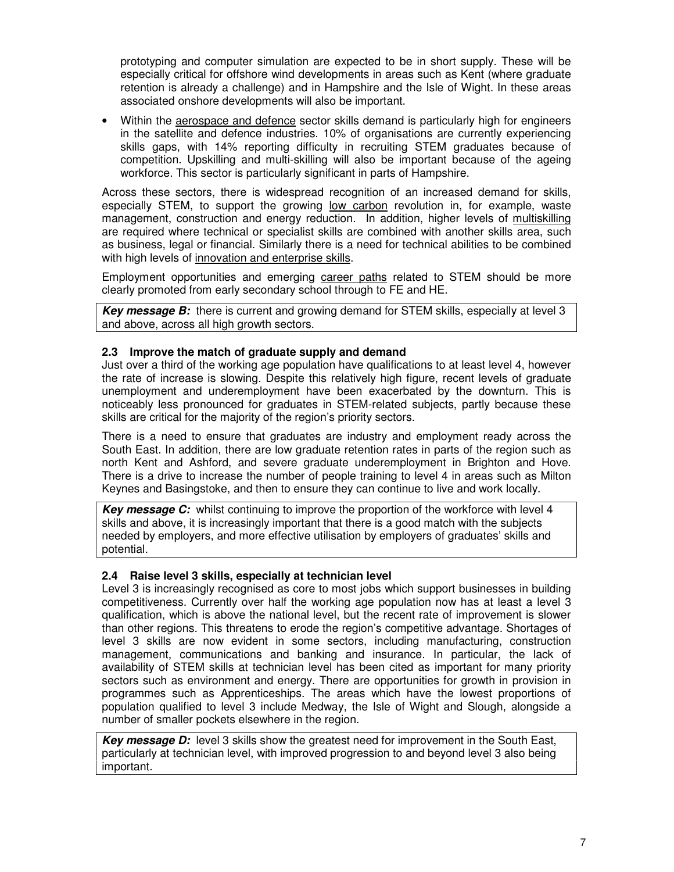prototyping and computer simulation are expected to be in short supply. These will be especially critical for offshore wind developments in areas such as Kent (where graduate retention is already a challenge) and in Hampshire and the Isle of Wight. In these areas associated onshore developments will also be important.

Within the aerospace and defence sector skills demand is particularly high for engineers in the satellite and defence industries. 10% of organisations are currently experiencing skills gaps, with 14% reporting difficulty in recruiting STEM graduates because of competition. Upskilling and multi-skilling will also be important because of the ageing workforce. This sector is particularly significant in parts of Hampshire.

Across these sectors, there is widespread recognition of an increased demand for skills, especially STEM, to support the growing low carbon revolution in, for example, waste management, construction and energy reduction. In addition, higher levels of multiskilling are required where technical or specialist skills are combined with another skills area, such as business, legal or financial. Similarly there is a need for technical abilities to be combined with high levels of innovation and enterprise skills.

Employment opportunities and emerging career paths related to STEM should be more clearly promoted from early secondary school through to FE and HE.

**Key message B:** there is current and growing demand for STEM skills, especially at level 3 and above, across all high growth sectors.

#### **2.3 Improve the match of graduate supply and demand**

Just over a third of the working age population have qualifications to at least level 4, however the rate of increase is slowing. Despite this relatively high figure, recent levels of graduate unemployment and underemployment have been exacerbated by the downturn. This is noticeably less pronounced for graduates in STEM-related subjects, partly because these skills are critical for the majority of the region's priority sectors.

There is a need to ensure that graduates are industry and employment ready across the South East. In addition, there are low graduate retention rates in parts of the region such as north Kent and Ashford, and severe graduate underemployment in Brighton and Hove. There is a drive to increase the number of people training to level 4 in areas such as Milton Keynes and Basingstoke, and then to ensure they can continue to live and work locally.

**Key message C:** whilst continuing to improve the proportion of the workforce with level 4 skills and above, it is increasingly important that there is a good match with the subjects needed by employers, and more effective utilisation by employers of graduates' skills and potential.

#### **2.4 Raise level 3 skills, especially at technician level**

Level 3 is increasingly recognised as core to most jobs which support businesses in building competitiveness. Currently over half the working age population now has at least a level 3 qualification, which is above the national level, but the recent rate of improvement is slower than other regions. This threatens to erode the region's competitive advantage. Shortages of level 3 skills are now evident in some sectors, including manufacturing, construction management, communications and banking and insurance. In particular, the lack of availability of STEM skills at technician level has been cited as important for many priority sectors such as environment and energy. There are opportunities for growth in provision in programmes such as Apprenticeships. The areas which have the lowest proportions of population qualified to level 3 include Medway, the Isle of Wight and Slough, alongside a number of smaller pockets elsewhere in the region.

**Key message D:** level 3 skills show the greatest need for improvement in the South East, particularly at technician level, with improved progression to and beyond level 3 also being important.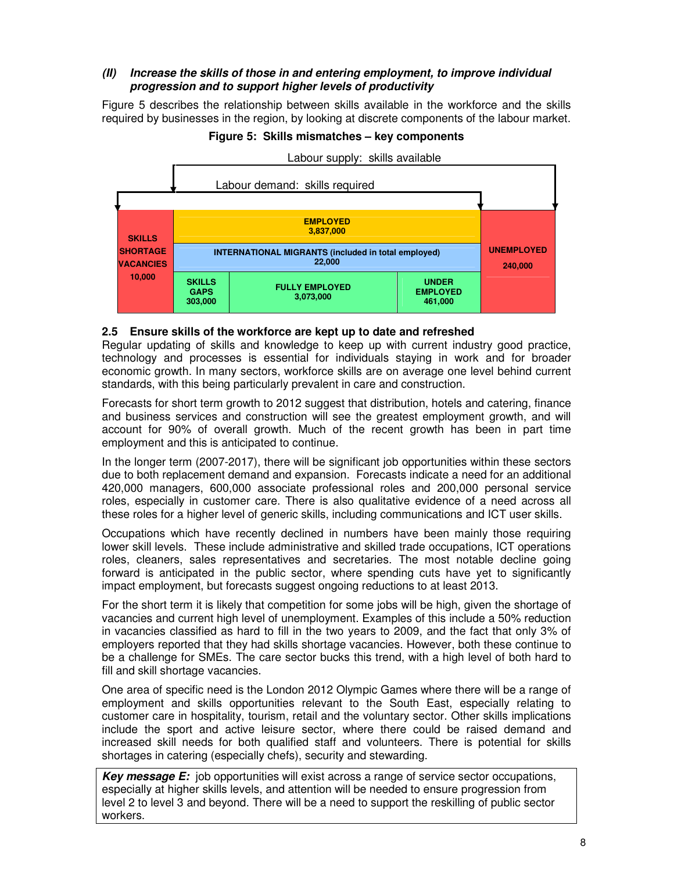## **(II) Increase the skills of those in and entering employment, to improve individual progression and to support higher levels of productivity**

Figure 5 describes the relationship between skills available in the workforce and the skills required by businesses in the region, by looking at discrete components of the labour market.

#### **Figure 5: Skills mismatches – key components**



#### **2.5 Ensure skills of the workforce are kept up to date and refreshed**

Regular updating of skills and knowledge to keep up with current industry good practice, technology and processes is essential for individuals staying in work and for broader economic growth. In many sectors, workforce skills are on average one level behind current standards, with this being particularly prevalent in care and construction.

Forecasts for short term growth to 2012 suggest that distribution, hotels and catering, finance and business services and construction will see the greatest employment growth, and will account for 90% of overall growth. Much of the recent growth has been in part time employment and this is anticipated to continue.

In the longer term (2007-2017), there will be significant job opportunities within these sectors due to both replacement demand and expansion. Forecasts indicate a need for an additional 420,000 managers, 600,000 associate professional roles and 200,000 personal service roles, especially in customer care. There is also qualitative evidence of a need across all these roles for a higher level of generic skills, including communications and ICT user skills.

Occupations which have recently declined in numbers have been mainly those requiring lower skill levels. These include administrative and skilled trade occupations, ICT operations roles, cleaners, sales representatives and secretaries. The most notable decline going forward is anticipated in the public sector, where spending cuts have yet to significantly impact employment, but forecasts suggest ongoing reductions to at least 2013.

For the short term it is likely that competition for some jobs will be high, given the shortage of vacancies and current high level of unemployment. Examples of this include a 50% reduction in vacancies classified as hard to fill in the two years to 2009, and the fact that only 3% of employers reported that they had skills shortage vacancies. However, both these continue to be a challenge for SMEs. The care sector bucks this trend, with a high level of both hard to fill and skill shortage vacancies.

One area of specific need is the London 2012 Olympic Games where there will be a range of employment and skills opportunities relevant to the South East, especially relating to customer care in hospitality, tourism, retail and the voluntary sector. Other skills implications include the sport and active leisure sector, where there could be raised demand and increased skill needs for both qualified staff and volunteers. There is potential for skills shortages in catering (especially chefs), security and stewarding.

**Key message E:** job opportunities will exist across a range of service sector occupations, especially at higher skills levels, and attention will be needed to ensure progression from level 2 to level 3 and beyond. There will be a need to support the reskilling of public sector workers.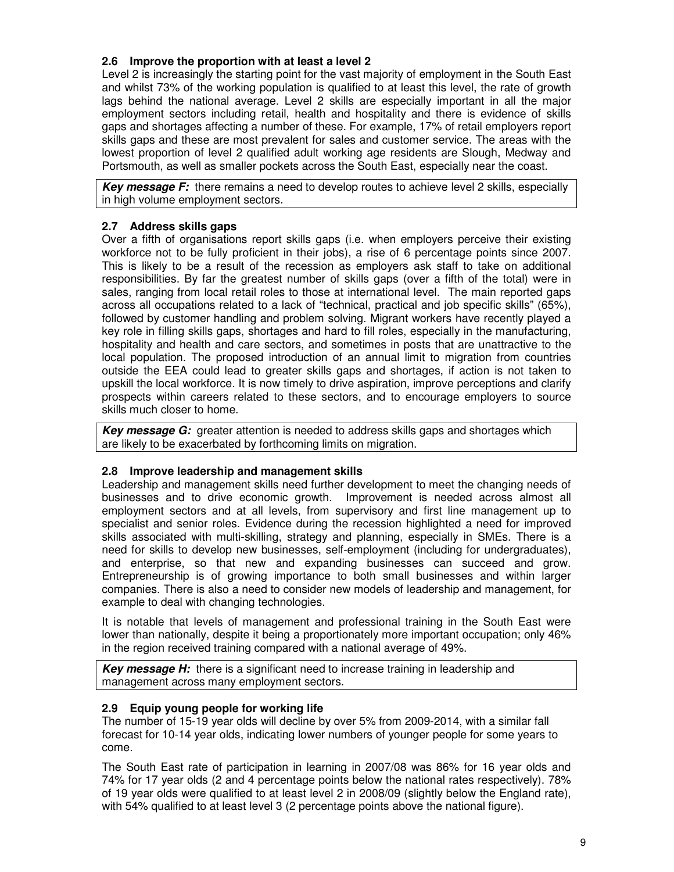#### **2.6 Improve the proportion with at least a level 2**

Level 2 is increasingly the starting point for the vast majority of employment in the South East and whilst 73% of the working population is qualified to at least this level, the rate of growth lags behind the national average. Level 2 skills are especially important in all the major employment sectors including retail, health and hospitality and there is evidence of skills gaps and shortages affecting a number of these. For example, 17% of retail employers report skills gaps and these are most prevalent for sales and customer service. The areas with the lowest proportion of level 2 qualified adult working age residents are Slough, Medway and Portsmouth, as well as smaller pockets across the South East, especially near the coast.

**Key message F:** there remains a need to develop routes to achieve level 2 skills, especially in high volume employment sectors.

#### **2.7 Address skills gaps**

Over a fifth of organisations report skills gaps (i.e. when employers perceive their existing workforce not to be fully proficient in their jobs), a rise of 6 percentage points since 2007. This is likely to be a result of the recession as employers ask staff to take on additional responsibilities. By far the greatest number of skills gaps (over a fifth of the total) were in sales, ranging from local retail roles to those at international level. The main reported gaps across all occupations related to a lack of "technical, practical and job specific skills" (65%), followed by customer handling and problem solving. Migrant workers have recently played a key role in filling skills gaps, shortages and hard to fill roles, especially in the manufacturing, hospitality and health and care sectors, and sometimes in posts that are unattractive to the local population. The proposed introduction of an annual limit to migration from countries outside the EEA could lead to greater skills gaps and shortages, if action is not taken to upskill the local workforce. It is now timely to drive aspiration, improve perceptions and clarify prospects within careers related to these sectors, and to encourage employers to source skills much closer to home.

**Key message G:** greater attention is needed to address skills gaps and shortages which are likely to be exacerbated by forthcoming limits on migration.

#### **2.8 Improve leadership and management skills**

Leadership and management skills need further development to meet the changing needs of businesses and to drive economic growth. Improvement is needed across almost all employment sectors and at all levels, from supervisory and first line management up to specialist and senior roles. Evidence during the recession highlighted a need for improved skills associated with multi-skilling, strategy and planning, especially in SMEs. There is a need for skills to develop new businesses, self-employment (including for undergraduates), and enterprise, so that new and expanding businesses can succeed and grow. Entrepreneurship is of growing importance to both small businesses and within larger companies. There is also a need to consider new models of leadership and management, for example to deal with changing technologies.

It is notable that levels of management and professional training in the South East were lower than nationally, despite it being a proportionately more important occupation; only 46% in the region received training compared with a national average of 49%.

**Key message H:** there is a significant need to increase training in leadership and management across many employment sectors.

#### **2.9 Equip young people for working life**

The number of 15-19 year olds will decline by over 5% from 2009-2014, with a similar fall forecast for 10-14 year olds, indicating lower numbers of younger people for some years to come.

The South East rate of participation in learning in 2007/08 was 86% for 16 year olds and 74% for 17 year olds (2 and 4 percentage points below the national rates respectively). 78% of 19 year olds were qualified to at least level 2 in 2008/09 (slightly below the England rate), with 54% qualified to at least level 3 (2 percentage points above the national figure).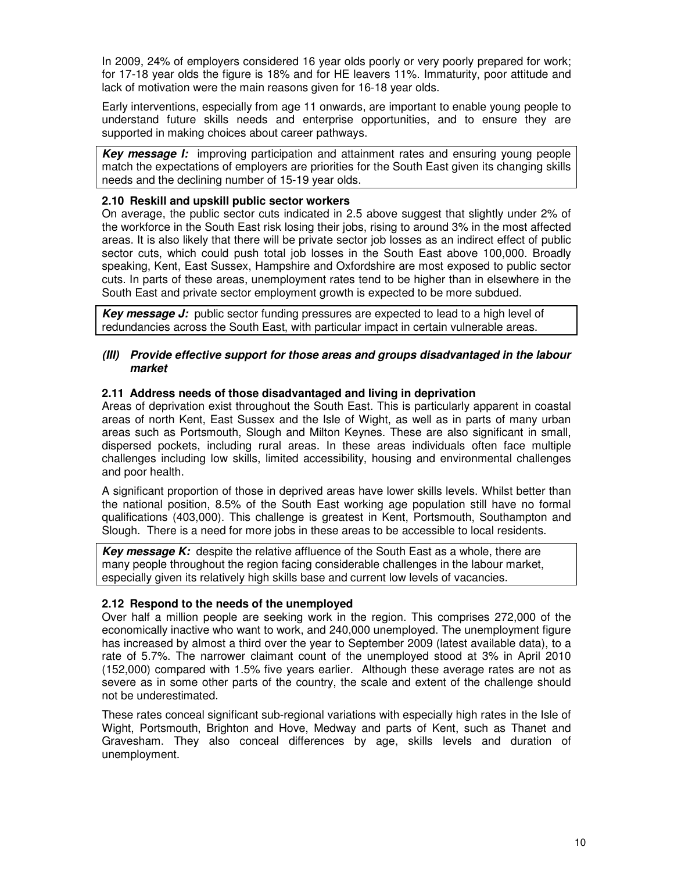In 2009, 24% of employers considered 16 year olds poorly or very poorly prepared for work; for 17-18 year olds the figure is 18% and for HE leavers 11%. Immaturity, poor attitude and lack of motivation were the main reasons given for 16-18 year olds.

Early interventions, especially from age 11 onwards, are important to enable young people to understand future skills needs and enterprise opportunities, and to ensure they are supported in making choices about career pathways.

**Key message I:** improving participation and attainment rates and ensuring young people match the expectations of employers are priorities for the South East given its changing skills needs and the declining number of 15-19 year olds.

#### **2.10 Reskill and upskill public sector workers**

On average, the public sector cuts indicated in 2.5 above suggest that slightly under 2% of the workforce in the South East risk losing their jobs, rising to around 3% in the most affected areas. It is also likely that there will be private sector job losses as an indirect effect of public sector cuts, which could push total job losses in the South East above 100,000. Broadly speaking, Kent, East Sussex, Hampshire and Oxfordshire are most exposed to public sector cuts. In parts of these areas, unemployment rates tend to be higher than in elsewhere in the South East and private sector employment growth is expected to be more subdued.

**Key message J:** public sector funding pressures are expected to lead to a high level of redundancies across the South East, with particular impact in certain vulnerable areas.

#### **(III) Provide effective support for those areas and groups disadvantaged in the labour market**

#### **2.11 Address needs of those disadvantaged and living in deprivation**

Areas of deprivation exist throughout the South East. This is particularly apparent in coastal areas of north Kent, East Sussex and the Isle of Wight, as well as in parts of many urban areas such as Portsmouth, Slough and Milton Keynes. These are also significant in small, dispersed pockets, including rural areas. In these areas individuals often face multiple challenges including low skills, limited accessibility, housing and environmental challenges and poor health.

A significant proportion of those in deprived areas have lower skills levels. Whilst better than the national position, 8.5% of the South East working age population still have no formal qualifications (403,000). This challenge is greatest in Kent, Portsmouth, Southampton and Slough. There is a need for more jobs in these areas to be accessible to local residents.

**Key message K:** despite the relative affluence of the South East as a whole, there are many people throughout the region facing considerable challenges in the labour market, especially given its relatively high skills base and current low levels of vacancies.

#### **2.12 Respond to the needs of the unemployed**

Over half a million people are seeking work in the region. This comprises 272,000 of the economically inactive who want to work, and 240,000 unemployed. The unemployment figure has increased by almost a third over the year to September 2009 (latest available data), to a rate of 5.7%. The narrower claimant count of the unemployed stood at 3% in April 2010 (152,000) compared with 1.5% five years earlier. Although these average rates are not as severe as in some other parts of the country, the scale and extent of the challenge should not be underestimated.

These rates conceal significant sub-regional variations with especially high rates in the Isle of Wight, Portsmouth, Brighton and Hove, Medway and parts of Kent, such as Thanet and Gravesham. They also conceal differences by age, skills levels and duration of unemployment.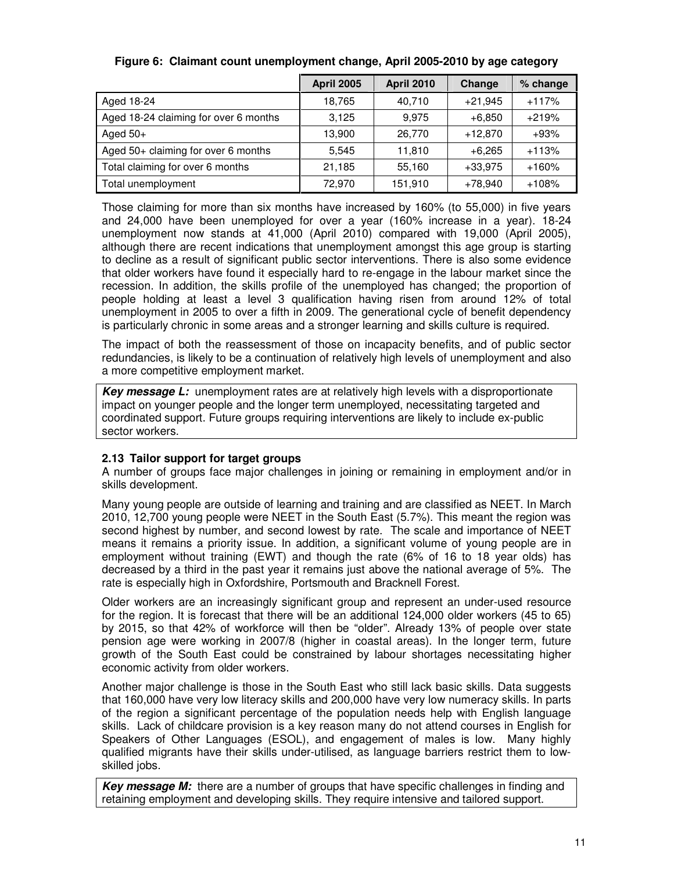|                                       | <b>April 2005</b> | <b>April 2010</b> | Change    | % change |
|---------------------------------------|-------------------|-------------------|-----------|----------|
| Aged 18-24                            | 18,765            | 40.710            | $+21,945$ | $+117%$  |
| Aged 18-24 claiming for over 6 months | 3.125             | 9.975             | $+6.850$  | $+219%$  |
| Aged $50+$                            | 13,900            | 26.770            | $+12,870$ | $+93%$   |
| Aged $50+$ claiming for over 6 months | 5,545             | 11,810            | $+6,265$  | $+113%$  |
| Total claiming for over 6 months      | 21,185            | 55.160            | $+33.975$ | $+160%$  |
| Total unemployment                    | 72.970            | 151,910           | $+78,940$ | $+108%$  |

## **Figure 6: Claimant count unemployment change, April 2005-2010 by age category**

Those claiming for more than six months have increased by 160% (to 55,000) in five years and 24,000 have been unemployed for over a year (160% increase in a year). 18-24 unemployment now stands at 41,000 (April 2010) compared with 19,000 (April 2005), although there are recent indications that unemployment amongst this age group is starting to decline as a result of significant public sector interventions. There is also some evidence that older workers have found it especially hard to re-engage in the labour market since the recession. In addition, the skills profile of the unemployed has changed; the proportion of people holding at least a level 3 qualification having risen from around 12% of total unemployment in 2005 to over a fifth in 2009. The generational cycle of benefit dependency is particularly chronic in some areas and a stronger learning and skills culture is required.

The impact of both the reassessment of those on incapacity benefits, and of public sector redundancies, is likely to be a continuation of relatively high levels of unemployment and also a more competitive employment market.

**Key message L:** unemployment rates are at relatively high levels with a disproportionate impact on younger people and the longer term unemployed, necessitating targeted and coordinated support. Future groups requiring interventions are likely to include ex-public sector workers.

## **2.13 Tailor support for target groups**

A number of groups face major challenges in joining or remaining in employment and/or in skills development.

Many young people are outside of learning and training and are classified as NEET. In March 2010, 12,700 young people were NEET in the South East (5.7%). This meant the region was second highest by number, and second lowest by rate. The scale and importance of NEET means it remains a priority issue. In addition, a significant volume of young people are in employment without training (EWT) and though the rate (6% of 16 to 18 year olds) has decreased by a third in the past year it remains just above the national average of 5%. The rate is especially high in Oxfordshire, Portsmouth and Bracknell Forest.

Older workers are an increasingly significant group and represent an under-used resource for the region. It is forecast that there will be an additional 124,000 older workers (45 to 65) by 2015, so that 42% of workforce will then be "older". Already 13% of people over state pension age were working in 2007/8 (higher in coastal areas). In the longer term, future growth of the South East could be constrained by labour shortages necessitating higher economic activity from older workers.

Another major challenge is those in the South East who still lack basic skills. Data suggests that 160,000 have very low literacy skills and 200,000 have very low numeracy skills. In parts of the region a significant percentage of the population needs help with English language skills. Lack of childcare provision is a key reason many do not attend courses in English for Speakers of Other Languages (ESOL), and engagement of males is low. Many highly qualified migrants have their skills under-utilised, as language barriers restrict them to lowskilled jobs.

**Key message M:** there are a number of groups that have specific challenges in finding and retaining employment and developing skills. They require intensive and tailored support.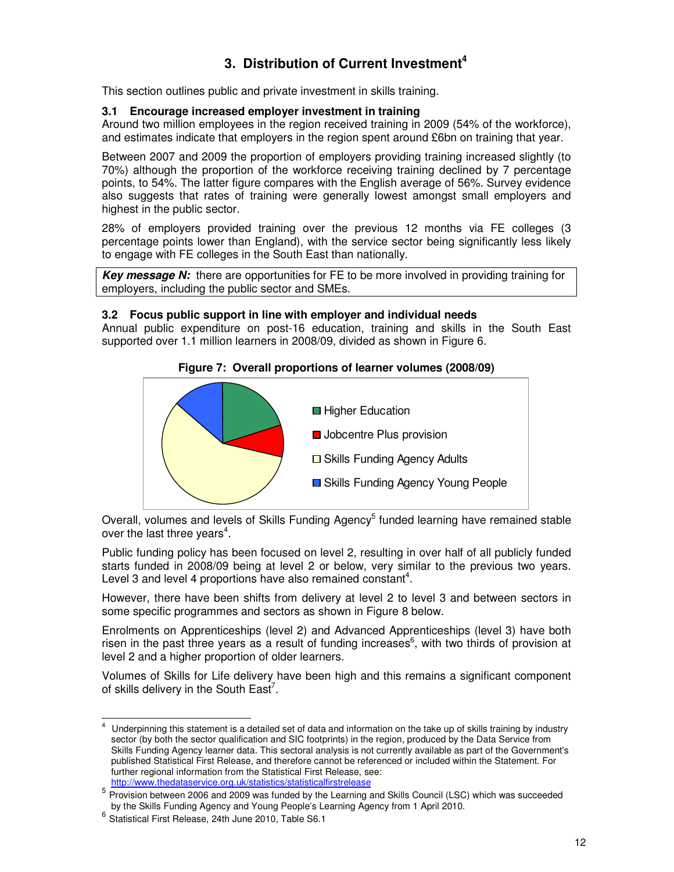## **3. Distribution of Current Investment<sup>4</sup>**

This section outlines public and private investment in skills training.

## **3.1 Encourage increased employer investment in training**

Around two million employees in the region received training in 2009 (54% of the workforce), and estimates indicate that employers in the region spent around £6bn on training that year.

Between 2007 and 2009 the proportion of employers providing training increased slightly (to 70%) although the proportion of the workforce receiving training declined by 7 percentage points, to 54%. The latter figure compares with the English average of 56%. Survey evidence also suggests that rates of training were generally lowest amongst small employers and highest in the public sector.

28% of employers provided training over the previous 12 months via FE colleges (3 percentage points lower than England), with the service sector being significantly less likely to engage with FE colleges in the South East than nationally.

**Key message N:** there are opportunities for FE to be more involved in providing training for employers, including the public sector and SMEs.

#### **3.2 Focus public support in line with employer and individual needs**

Annual public expenditure on post-16 education, training and skills in the South East supported over 1.1 million learners in 2008/09, divided as shown in Figure 6.

#### **Figure 7: Overall proportions of learner volumes (2008/09)**



Overall, volumes and levels of Skills Funding Agency<sup>5</sup> funded learning have remained stable over the last three years<sup>4</sup>.

Public funding policy has been focused on level 2, resulting in over half of all publicly funded starts funded in 2008/09 being at level 2 or below, very similar to the previous two years. Level 3 and level 4 proportions have also remained constant<sup>4</sup>.

However, there have been shifts from delivery at level 2 to level 3 and between sectors in some specific programmes and sectors as shown in Figure 8 below.

Enrolments on Apprenticeships (level 2) and Advanced Apprenticeships (level 3) have both risen in the past three years as a result of funding increases<sup>6</sup>, with two thirds of provision at level 2 and a higher proportion of older learners.

Volumes of Skills for Life delivery have been high and this remains a significant component of skills delivery in the South East<sup>7</sup>.

 $\overline{\phantom{a}}$ 4 Underpinning this statement is a detailed set of data and information on the take up of skills training by industry sector (by both the sector qualification and SIC footprints) in the region, produced by the Data Service from Skills Funding Agency learner data. This sectoral analysis is not currently available as part of the Government's published Statistical First Release, and therefore cannot be referenced or included within the Statement. For further regional information from the Statistical First Release, see: http://www.thedataservice.org.uk/statistics/statisticalfirstrelease

<sup>&</sup>lt;sup>5</sup> Provision between 2006 and 2009 was funded by the Learning and Skills Council (LSC) which was succeeded by the Skills Funding Agency and Young People's Learning Agency from 1 April 2010.

<sup>6</sup> Statistical First Release, 24th June 2010, Table S6.1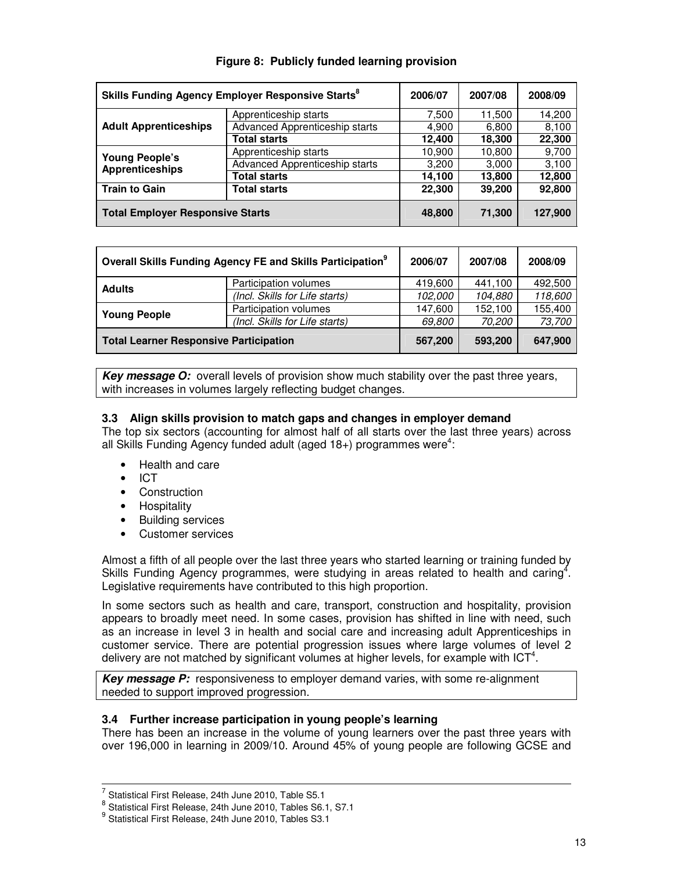| Skills Funding Agency Employer Responsive Starts <sup>8</sup> |                                | 2006/07 | 2007/08 | 2008/09 |
|---------------------------------------------------------------|--------------------------------|---------|---------|---------|
|                                                               | Apprenticeship starts          | 7,500   | 11,500  | 14,200  |
| <b>Adult Apprenticeships</b>                                  | Advanced Apprenticeship starts | 4,900   | 6,800   | 8,100   |
|                                                               | <b>Total starts</b>            | 12,400  | 18,300  | 22,300  |
| <b>Young People's</b>                                         | Apprenticeship starts          | 10,900  | 10,800  | 9,700   |
| <b>Apprenticeships</b>                                        | Advanced Apprenticeship starts | 3,200   | 3,000   | 3,100   |
|                                                               | <b>Total starts</b>            | 14,100  | 13,800  | 12,800  |
| <b>Train to Gain</b><br><b>Total starts</b>                   |                                | 22,300  | 39,200  | 92,800  |
| <b>Total Employer Responsive Starts</b>                       |                                | 48,800  | 71,300  | 127,900 |

## **Figure 8: Publicly funded learning provision**

| Overall Skills Funding Agency FE and Skills Participation <sup>9</sup> |                                | 2006/07 | 2007/08 | 2008/09 |
|------------------------------------------------------------------------|--------------------------------|---------|---------|---------|
| <b>Adults</b>                                                          | Participation volumes          | 419,600 | 441,100 | 492.500 |
|                                                                        | (Incl. Skills for Life starts) | 102,000 | 104,880 | 118,600 |
| <b>Young People</b>                                                    | Participation volumes          | 147.600 | 152.100 | 155.400 |
|                                                                        | (Incl. Skills for Life starts) | 69.800  | 70,200  | 73,700  |
| <b>Total Learner Responsive Participation</b>                          |                                | 567,200 | 593,200 | 647,900 |

**Key message O:** overall levels of provision show much stability over the past three years, with increases in volumes largely reflecting budget changes.

## **3.3 Align skills provision to match gaps and changes in employer demand**

The top six sectors (accounting for almost half of all starts over the last three years) across all Skills Funding Agency funded adult (aged  $18+$ ) programmes were<sup>4</sup>:

- Health and care
- ICT
- Construction
- Hospitality
- Building services
- Customer services

Almost a fifth of all people over the last three years who started learning or training funded by Skills Funding Agency programmes, were studying in areas related to health and caring<sup>4</sup>. Legislative requirements have contributed to this high proportion.

In some sectors such as health and care, transport, construction and hospitality, provision appears to broadly meet need. In some cases, provision has shifted in line with need, such as an increase in level 3 in health and social care and increasing adult Apprenticeships in customer service. There are potential progression issues where large volumes of level 2 delivery are not matched by significant volumes at higher levels, for example with ICT<sup>4</sup>.

**Key message P:** responsiveness to employer demand varies, with some re-alignment needed to support improved progression.

#### **3.4 Further increase participation in young people's learning**

There has been an increase in the volume of young learners over the past three years with over 196,000 in learning in 2009/10. Around 45% of young people are following GCSE and

 $\frac{7}{1}$  Statistical First Release, 24th June 2010, Table S5.1

 $^8$  Statistical First Release, 24th June 2010, Tables S6.1, S7.1

 $^9$  Statistical First Release, 24th June 2010, Tables S3.1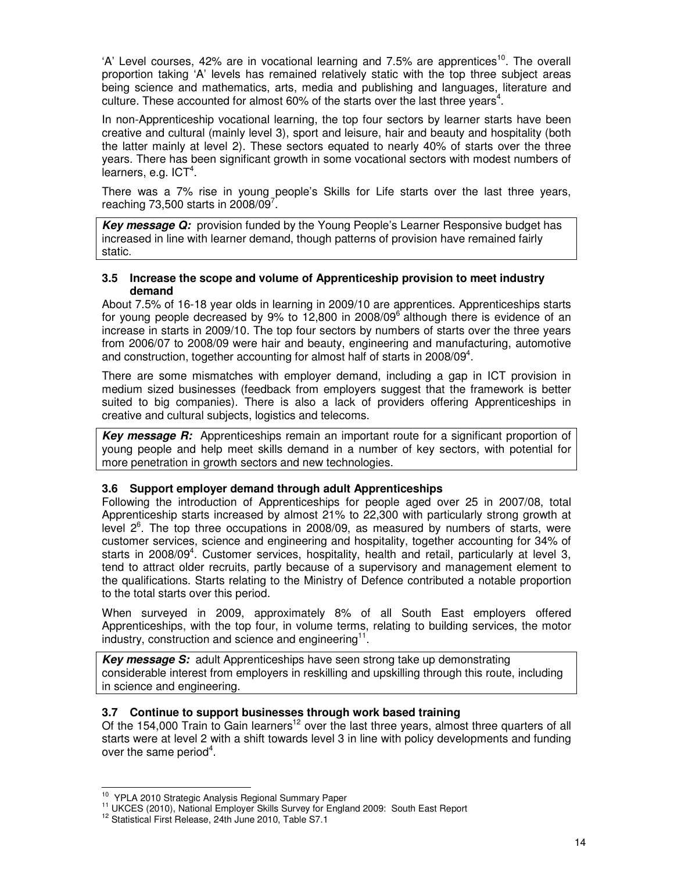'A' Level courses, 42% are in vocational learning and 7.5% are apprentices<sup>10</sup>. The overall proportion taking 'A' levels has remained relatively static with the top three subject areas being science and mathematics, arts, media and publishing and languages, literature and culture. These accounted for almost 60% of the starts over the last three years<sup>4</sup>.

In non-Apprenticeship vocational learning, the top four sectors by learner starts have been creative and cultural (mainly level 3), sport and leisure, hair and beauty and hospitality (both the latter mainly at level 2). These sectors equated to nearly 40% of starts over the three years. There has been significant growth in some vocational sectors with modest numbers of learners, e.g. ICT<sup>4</sup>.

There was a 7% rise in young people's Skills for Life starts over the last three years, reaching 73,500 starts in 2008/09 $^7$ .

**Key message Q:** provision funded by the Young People's Learner Responsive budget has increased in line with learner demand, though patterns of provision have remained fairly static.

#### **3.5 Increase the scope and volume of Apprenticeship provision to meet industry demand**

About 7.5% of 16-18 year olds in learning in 2009/10 are apprentices. Apprenticeships starts for young people decreased by  $9\%$  to 12,800 in 2008/09 $^6$  although there is evidence of an increase in starts in 2009/10. The top four sectors by numbers of starts over the three years from 2006/07 to 2008/09 were hair and beauty, engineering and manufacturing, automotive and construction, together accounting for almost half of starts in 2008/09<sup>4</sup>.

There are some mismatches with employer demand, including a gap in ICT provision in medium sized businesses (feedback from employers suggest that the framework is better suited to big companies). There is also a lack of providers offering Apprenticeships in creative and cultural subjects, logistics and telecoms.

**Key message R:** Apprenticeships remain an important route for a significant proportion of young people and help meet skills demand in a number of key sectors, with potential for more penetration in growth sectors and new technologies.

#### **3.6 Support employer demand through adult Apprenticeships**

Following the introduction of Apprenticeships for people aged over 25 in 2007/08, total Apprenticeship starts increased by almost 21% to 22,300 with particularly strong growth at level  $2^6$ . The top three occupations in 2008/09, as measured by numbers of starts, were customer services, science and engineering and hospitality, together accounting for 34% of starts in 2008/09<sup>4</sup>. Customer services, hospitality, health and retail, particularly at level 3, tend to attract older recruits, partly because of a supervisory and management element to the qualifications. Starts relating to the Ministry of Defence contributed a notable proportion to the total starts over this period.

When surveyed in 2009, approximately 8% of all South East employers offered Apprenticeships, with the top four, in volume terms, relating to building services, the motor industry, construction and science and engineering $11$ .

**Key message S:** adult Apprenticeships have seen strong take up demonstrating considerable interest from employers in reskilling and upskilling through this route, including in science and engineering.

#### **3.7 Continue to support businesses through work based training**

Of the 154,000 Train to Gain learners<sup>12</sup> over the last three years, almost three quarters of all starts were at level 2 with a shift towards level 3 in line with policy developments and funding over the same period<sup>4</sup>.

 $\overline{a}$ <sup>10</sup> YPLA 2010 Strategic Analysis Regional Summary Paper

<sup>&</sup>lt;sup>11</sup> UKCES (2010), National Employer Skills Survey for England 2009: South East Report

<sup>&</sup>lt;sup>12</sup> Statistical First Release, 24th June 2010, Table S7.1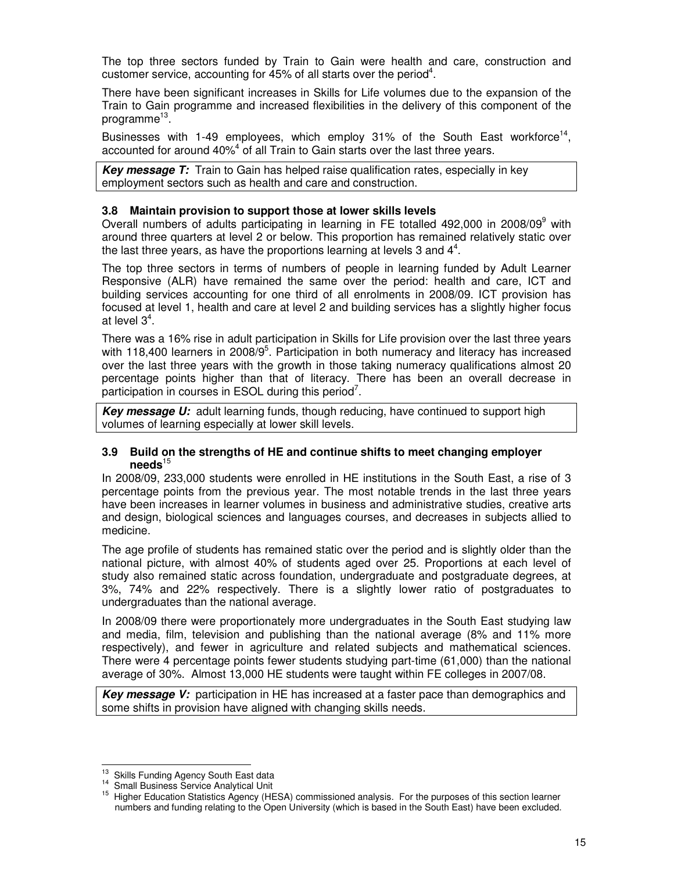The top three sectors funded by Train to Gain were health and care, construction and customer service, accounting for 45% of all starts over the period<sup>4</sup>.

There have been significant increases in Skills for Life volumes due to the expansion of the Train to Gain programme and increased flexibilities in the delivery of this component of the programme<sup>13</sup>.

Businesses with 1-49 employees, which employ 31% of the South East workforce<sup>14</sup>, accounted for around 40%<sup>4</sup> of all Train to Gain starts over the last three years.

**Key message T:** Train to Gain has helped raise qualification rates, especially in key employment sectors such as health and care and construction.

#### **3.8 Maintain provision to support those at lower skills levels**

Overall numbers of adults participating in learning in FE totalled 492,000 in 2008/09 $^9$  with around three quarters at level 2 or below. This proportion has remained relatively static over the last three years, as have the proportions learning at levels 3 and  $4^4$ .

The top three sectors in terms of numbers of people in learning funded by Adult Learner Responsive (ALR) have remained the same over the period: health and care, ICT and building services accounting for one third of all enrolments in 2008/09. ICT provision has focused at level 1, health and care at level 2 and building services has a slightly higher focus at level  $3^4$ .

There was a 16% rise in adult participation in Skills for Life provision over the last three years with 118,400 learners in 2008/9<sup>5</sup>. Participation in both numeracy and literacy has increased over the last three years with the growth in those taking numeracy qualifications almost 20 percentage points higher than that of literacy. There has been an overall decrease in participation in courses in ESOL during this period<sup>7</sup>.

Key message U: adult learning funds, though reducing, have continued to support high volumes of learning especially at lower skill levels.

#### **3.9 Build on the strengths of HE and continue shifts to meet changing employer needs**<sup>15</sup>

In 2008/09, 233,000 students were enrolled in HE institutions in the South East, a rise of 3 percentage points from the previous year. The most notable trends in the last three years have been increases in learner volumes in business and administrative studies, creative arts and design, biological sciences and languages courses, and decreases in subjects allied to medicine.

The age profile of students has remained static over the period and is slightly older than the national picture, with almost 40% of students aged over 25. Proportions at each level of study also remained static across foundation, undergraduate and postgraduate degrees, at 3%, 74% and 22% respectively. There is a slightly lower ratio of postgraduates to undergraduates than the national average.

In 2008/09 there were proportionately more undergraduates in the South East studying law and media, film, television and publishing than the national average (8% and 11% more respectively), and fewer in agriculture and related subjects and mathematical sciences. There were 4 percentage points fewer students studying part-time (61,000) than the national average of 30%. Almost 13,000 HE students were taught within FE colleges in 2007/08.

**Key message V:** participation in HE has increased at a faster pace than demographics and some shifts in provision have aligned with changing skills needs.

 Skills Funding Agency South East data

Small Business Service Analytical Unit

Higher Education Statistics Agency (HESA) commissioned analysis. For the purposes of this section learner numbers and funding relating to the Open University (which is based in the South East) have been excluded.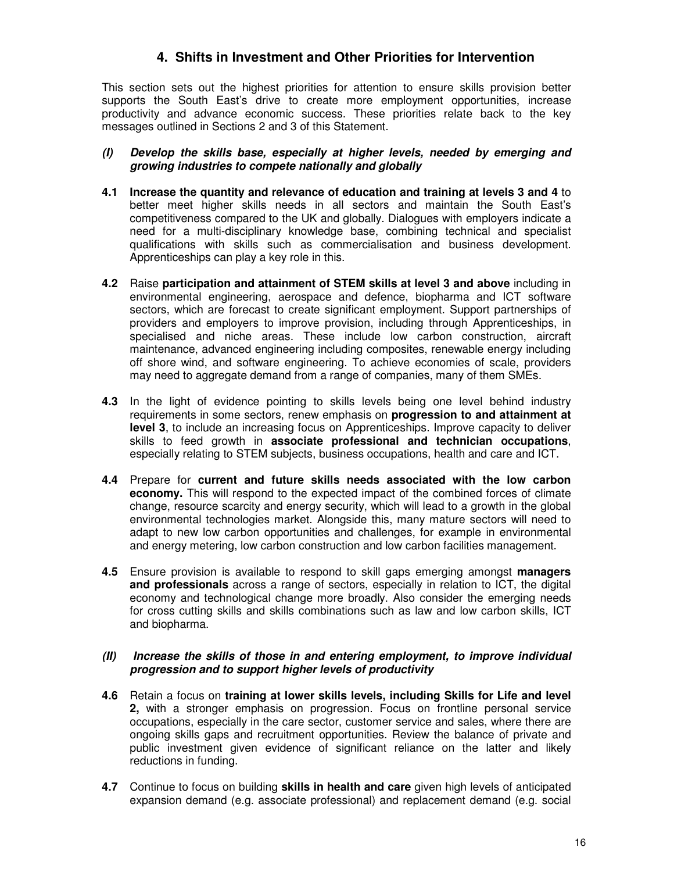## **4. Shifts in Investment and Other Priorities for Intervention**

This section sets out the highest priorities for attention to ensure skills provision better supports the South East's drive to create more employment opportunities, increase productivity and advance economic success. These priorities relate back to the key messages outlined in Sections 2 and 3 of this Statement.

#### **(I) Develop the skills base, especially at higher levels, needed by emerging and growing industries to compete nationally and globally**

- **4.1 Increase the quantity and relevance of education and training at levels 3 and 4** to better meet higher skills needs in all sectors and maintain the South East's competitiveness compared to the UK and globally. Dialogues with employers indicate a need for a multi-disciplinary knowledge base, combining technical and specialist qualifications with skills such as commercialisation and business development. Apprenticeships can play a key role in this.
- **4.2** Raise **participation and attainment of STEM skills at level 3 and above** including in environmental engineering, aerospace and defence, biopharma and ICT software sectors, which are forecast to create significant employment. Support partnerships of providers and employers to improve provision, including through Apprenticeships, in specialised and niche areas. These include low carbon construction, aircraft maintenance, advanced engineering including composites, renewable energy including off shore wind, and software engineering. To achieve economies of scale, providers may need to aggregate demand from a range of companies, many of them SMEs.
- **4.3** In the light of evidence pointing to skills levels being one level behind industry requirements in some sectors, renew emphasis on **progression to and attainment at level 3**, to include an increasing focus on Apprenticeships. Improve capacity to deliver skills to feed growth in **associate professional and technician occupations**, especially relating to STEM subjects, business occupations, health and care and ICT.
- **4.4** Prepare for **current and future skills needs associated with the low carbon economy.** This will respond to the expected impact of the combined forces of climate change, resource scarcity and energy security, which will lead to a growth in the global environmental technologies market. Alongside this, many mature sectors will need to adapt to new low carbon opportunities and challenges, for example in environmental and energy metering, low carbon construction and low carbon facilities management.
- **4.5** Ensure provision is available to respond to skill gaps emerging amongst **managers and professionals** across a range of sectors, especially in relation to ICT, the digital economy and technological change more broadly. Also consider the emerging needs for cross cutting skills and skills combinations such as law and low carbon skills, ICT and biopharma.

#### **(II) Increase the skills of those in and entering employment, to improve individual progression and to support higher levels of productivity**

- **4.6** Retain a focus on **training at lower skills levels, including Skills for Life and level 2,** with a stronger emphasis on progression. Focus on frontline personal service occupations, especially in the care sector, customer service and sales, where there are ongoing skills gaps and recruitment opportunities. Review the balance of private and public investment given evidence of significant reliance on the latter and likely reductions in funding.
- **4.7** Continue to focus on building **skills in health and care** given high levels of anticipated expansion demand (e.g. associate professional) and replacement demand (e.g. social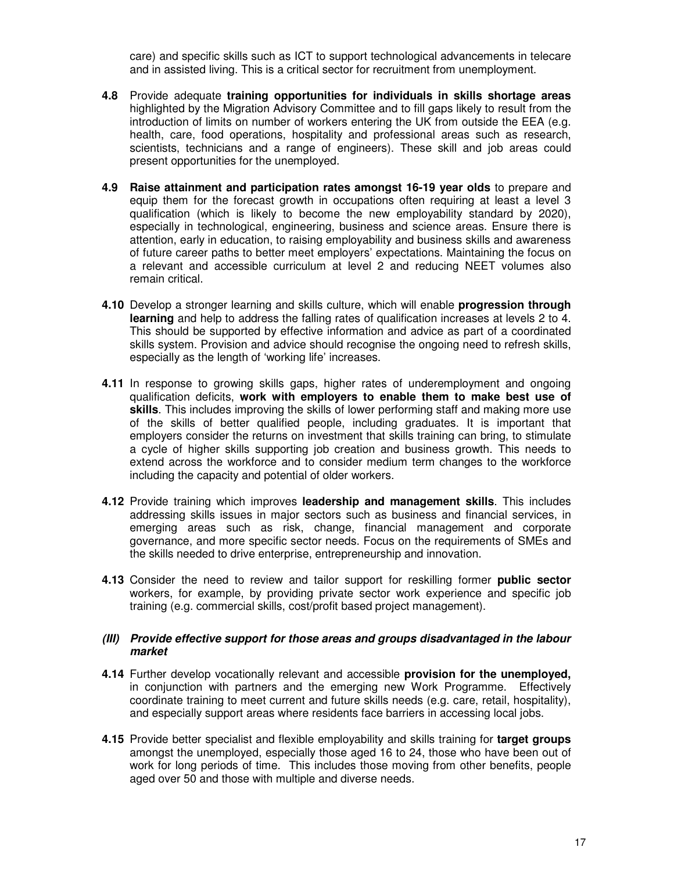care) and specific skills such as ICT to support technological advancements in telecare and in assisted living. This is a critical sector for recruitment from unemployment.

- **4.8** Provide adequate **training opportunities for individuals in skills shortage areas** highlighted by the Migration Advisory Committee and to fill gaps likely to result from the introduction of limits on number of workers entering the UK from outside the EEA (e.g. health, care, food operations, hospitality and professional areas such as research, scientists, technicians and a range of engineers). These skill and job areas could present opportunities for the unemployed.
- **4.9 Raise attainment and participation rates amongst 16-19 year olds** to prepare and equip them for the forecast growth in occupations often requiring at least a level 3 qualification (which is likely to become the new employability standard by 2020), especially in technological, engineering, business and science areas. Ensure there is attention, early in education, to raising employability and business skills and awareness of future career paths to better meet employers' expectations. Maintaining the focus on a relevant and accessible curriculum at level 2 and reducing NEET volumes also remain critical.
- **4.10** Develop a stronger learning and skills culture, which will enable **progression through learning** and help to address the falling rates of qualification increases at levels 2 to 4. This should be supported by effective information and advice as part of a coordinated skills system. Provision and advice should recognise the ongoing need to refresh skills, especially as the length of 'working life' increases.
- **4.11** In response to growing skills gaps, higher rates of underemployment and ongoing qualification deficits, **work with employers to enable them to make best use of skills**. This includes improving the skills of lower performing staff and making more use of the skills of better qualified people, including graduates. It is important that employers consider the returns on investment that skills training can bring, to stimulate a cycle of higher skills supporting job creation and business growth. This needs to extend across the workforce and to consider medium term changes to the workforce including the capacity and potential of older workers.
- **4.12** Provide training which improves **leadership and management skills**. This includes addressing skills issues in major sectors such as business and financial services, in emerging areas such as risk, change, financial management and corporate governance, and more specific sector needs. Focus on the requirements of SMEs and the skills needed to drive enterprise, entrepreneurship and innovation.
- **4.13** Consider the need to review and tailor support for reskilling former **public sector** workers, for example, by providing private sector work experience and specific job training (e.g. commercial skills, cost/profit based project management).

#### **(III) Provide effective support for those areas and groups disadvantaged in the labour market**

- **4.14** Further develop vocationally relevant and accessible **provision for the unemployed,**  in conjunction with partners and the emerging new Work Programme. Effectively coordinate training to meet current and future skills needs (e.g. care, retail, hospitality), and especially support areas where residents face barriers in accessing local jobs.
- **4.15** Provide better specialist and flexible employability and skills training for **target groups** amongst the unemployed, especially those aged 16 to 24, those who have been out of work for long periods of time. This includes those moving from other benefits, people aged over 50 and those with multiple and diverse needs.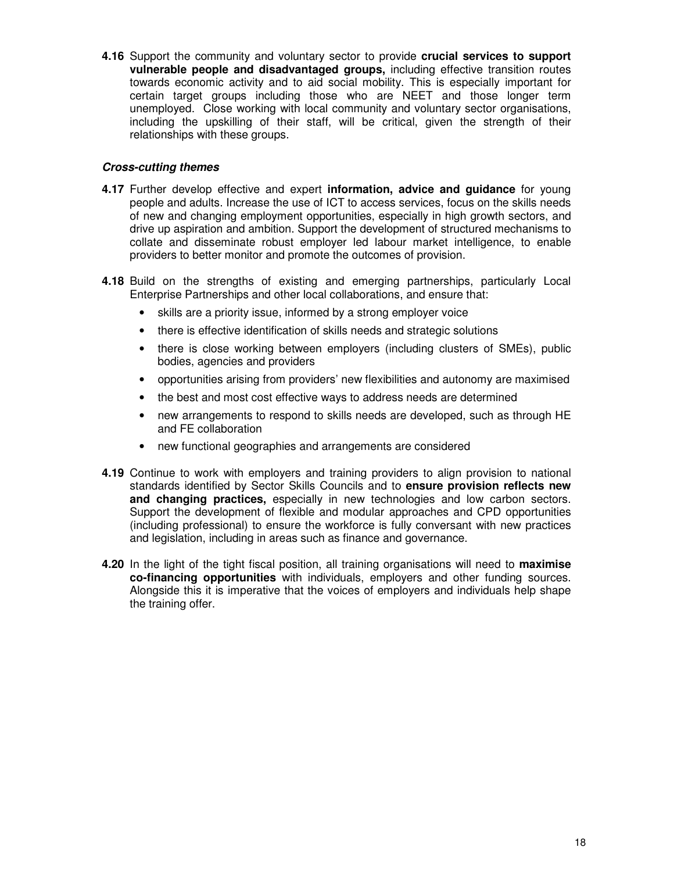**4.16** Support the community and voluntary sector to provide **crucial services to support vulnerable people and disadvantaged groups,** including effective transition routes towards economic activity and to aid social mobility. This is especially important for certain target groups including those who are NEET and those longer term unemployed. Close working with local community and voluntary sector organisations, including the upskilling of their staff, will be critical, given the strength of their relationships with these groups.

#### **Cross-cutting themes**

- **4.17** Further develop effective and expert **information, advice and guidance** for young people and adults. Increase the use of ICT to access services, focus on the skills needs of new and changing employment opportunities, especially in high growth sectors, and drive up aspiration and ambition. Support the development of structured mechanisms to collate and disseminate robust employer led labour market intelligence, to enable providers to better monitor and promote the outcomes of provision.
- **4.18** Build on the strengths of existing and emerging partnerships, particularly Local Enterprise Partnerships and other local collaborations, and ensure that:
	- skills are a priority issue, informed by a strong employer voice
	- there is effective identification of skills needs and strategic solutions
	- there is close working between employers (including clusters of SMEs), public bodies, agencies and providers
	- opportunities arising from providers' new flexibilities and autonomy are maximised
	- the best and most cost effective ways to address needs are determined
	- new arrangements to respond to skills needs are developed, such as through HE and FE collaboration
	- new functional geographies and arrangements are considered
- **4.19** Continue to work with employers and training providers to align provision to national standards identified by Sector Skills Councils and to **ensure provision reflects new and changing practices,** especially in new technologies and low carbon sectors. Support the development of flexible and modular approaches and CPD opportunities (including professional) to ensure the workforce is fully conversant with new practices and legislation, including in areas such as finance and governance.
- **4.20** In the light of the tight fiscal position, all training organisations will need to **maximise co-financing opportunities** with individuals, employers and other funding sources. Alongside this it is imperative that the voices of employers and individuals help shape the training offer.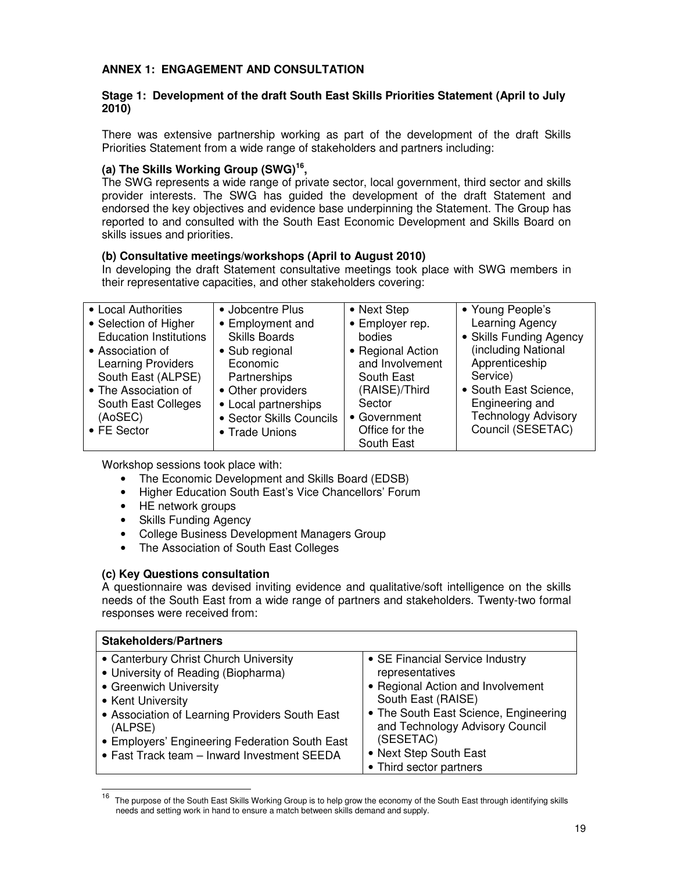## **ANNEX 1: ENGAGEMENT AND CONSULTATION**

#### **Stage 1: Development of the draft South East Skills Priorities Statement (April to July 2010)**

There was extensive partnership working as part of the development of the draft Skills Priorities Statement from a wide range of stakeholders and partners including:

#### **(a) The Skills Working Group (SWG)<sup>16</sup> ,**

The SWG represents a wide range of private sector, local government, third sector and skills provider interests. The SWG has guided the development of the draft Statement and endorsed the key objectives and evidence base underpinning the Statement. The Group has reported to and consulted with the South East Economic Development and Skills Board on skills issues and priorities.

#### **(b) Consultative meetings/workshops (April to August 2010)**

In developing the draft Statement consultative meetings took place with SWG members in their representative capacities, and other stakeholders covering:

| • Local Authorities           | • Jobcentre Plus         | • Next Step       | • Young People's           |
|-------------------------------|--------------------------|-------------------|----------------------------|
| • Selection of Higher         | • Employment and         | • Employer rep.   | Learning Agency            |
| <b>Education Institutions</b> | <b>Skills Boards</b>     | bodies            | • Skills Funding Agency    |
| • Association of              | • Sub regional           | • Regional Action | (including National        |
| <b>Learning Providers</b>     | Economic                 | and Involvement   | Apprenticeship             |
| South East (ALPSE)            | Partnerships             | South East        | Service)                   |
| • The Association of          | • Other providers        | (RAISE)/Third     | • South East Science,      |
| South East Colleges           | • Local partnerships     | Sector            | Engineering and            |
| (AoSEC)                       | • Sector Skills Councils | • Government      | <b>Technology Advisory</b> |
| • FE Sector                   | • Trade Unions           | Office for the    | Council (SESETAC)          |
|                               |                          | South East        |                            |

Workshop sessions took place with:

- The Economic Development and Skills Board (EDSB)
- Higher Education South East's Vice Chancellors' Forum
- HE network groups
- Skills Funding Agency
- College Business Development Managers Group
- The Association of South East Colleges

#### **(c) Key Questions consultation**

A questionnaire was devised inviting evidence and qualitative/soft intelligence on the skills needs of the South East from a wide range of partners and stakeholders. Twenty-two formal responses were received from:

| <b>Stakeholders/Partners</b>                                                                                                                                                                                                                                                              |                                                                                                                                                                                                                                  |
|-------------------------------------------------------------------------------------------------------------------------------------------------------------------------------------------------------------------------------------------------------------------------------------------|----------------------------------------------------------------------------------------------------------------------------------------------------------------------------------------------------------------------------------|
| • Canterbury Christ Church University<br>• University of Reading (Biopharma)<br>• Greenwich University<br>• Kent University<br>• Association of Learning Providers South East<br>(ALPSE)<br>• Employers' Engineering Federation South East<br>• Fast Track team - Inward Investment SEEDA | • SE Financial Service Industry<br>representatives<br>• Regional Action and Involvement<br>South East (RAISE)<br>• The South East Science, Engineering<br>and Technology Advisory Council<br>(SESETAC)<br>• Next Step South East |
|                                                                                                                                                                                                                                                                                           | • Third sector partners                                                                                                                                                                                                          |

 16 The purpose of the South East Skills Working Group is to help grow the economy of the South East through identifying skills needs and setting work in hand to ensure a match between skills demand and supply.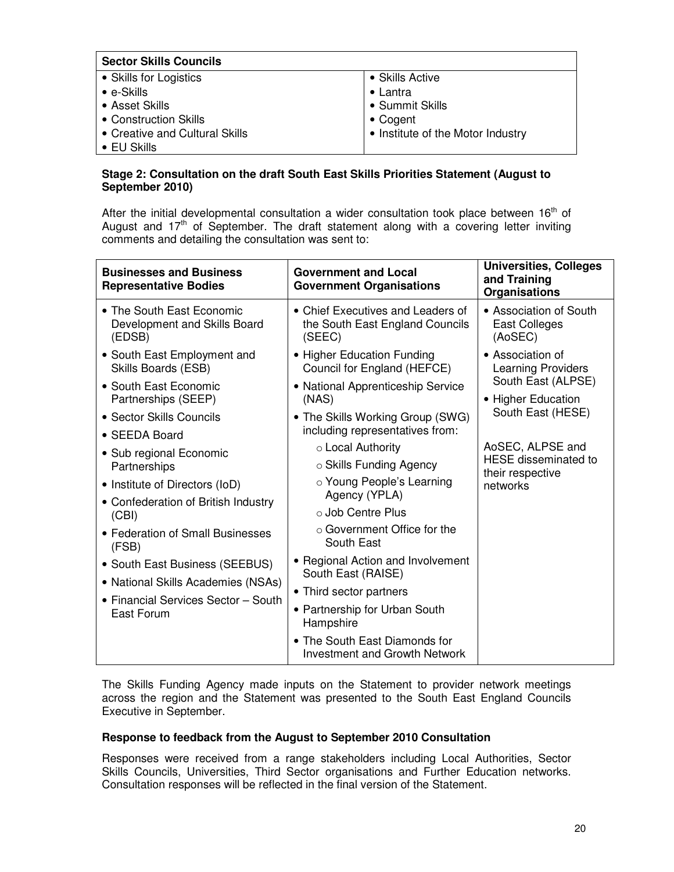| <b>Sector Skills Councils</b>  |                                   |
|--------------------------------|-----------------------------------|
| • Skills for Logistics         | • Skills Active                   |
| $\bullet$ e-Skills             | $\bullet$ Lantra                  |
| • Asset Skills                 | • Summit Skills                   |
| • Construction Skills          | $\bullet$ Cogent                  |
| • Creative and Cultural Skills | • Institute of the Motor Industry |
| $\bullet$ EU Skills            |                                   |

#### **Stage 2: Consultation on the draft South East Skills Priorities Statement (August to September 2010)**

After the initial developmental consultation a wider consultation took place between  $16<sup>th</sup>$  of August and  $17<sup>th</sup>$  of September. The draft statement along with a covering letter inviting comments and detailing the consultation was sent to:

| <b>Businesses and Business</b><br><b>Representative Bodies</b>            | <b>Government and Local</b><br><b>Government Organisations</b>                 | <b>Universities, Colleges</b><br>and Training<br><b>Organisations</b> |  |
|---------------------------------------------------------------------------|--------------------------------------------------------------------------------|-----------------------------------------------------------------------|--|
| • The South East Economic<br>Development and Skills Board<br>(EDSB)       | • Chief Executives and Leaders of<br>the South East England Councils<br>(SEEC) | • Association of South<br>East Colleges<br>(AoSEC)                    |  |
| • South East Employment and<br>Skills Boards (ESB)                        | • Higher Education Funding<br>Council for England (HEFCE)                      | • Association of<br><b>Learning Providers</b>                         |  |
| • South East Economic<br>Partnerships (SEEP)                              | • National Apprenticeship Service<br>(NAS)                                     | South East (ALPSE)<br>• Higher Education                              |  |
| • Sector Skills Councils                                                  | • The Skills Working Group (SWG)<br>including representatives from:            | South East (HESE)                                                     |  |
| • SEEDA Board                                                             | ○ Local Authority                                                              | AoSEC, ALPSE and                                                      |  |
| • Sub regional Economic<br>Partnerships                                   | ○ Skills Funding Agency                                                        | <b>HESE</b> disseminated to                                           |  |
| • Institute of Directors (IoD)                                            | ○ Young People's Learning<br>Agency (YPLA)                                     | their respective<br>networks                                          |  |
| • Confederation of British Industry<br>(CBI)                              | ○ Job Centre Plus                                                              |                                                                       |  |
| • Federation of Small Businesses<br>(FSB)                                 | $\circ$ Government Office for the<br>South East                                |                                                                       |  |
| • South East Business (SEEBUS)                                            | • Regional Action and Involvement<br>South East (RAISE)                        |                                                                       |  |
| • National Skills Academies (NSAs)<br>• Financial Services Sector - South | • Third sector partners                                                        |                                                                       |  |
| East Forum                                                                | • Partnership for Urban South<br>Hampshire                                     |                                                                       |  |
|                                                                           | • The South East Diamonds for<br><b>Investment and Growth Network</b>          |                                                                       |  |

The Skills Funding Agency made inputs on the Statement to provider network meetings across the region and the Statement was presented to the South East England Councils Executive in September.

#### **Response to feedback from the August to September 2010 Consultation**

Responses were received from a range stakeholders including Local Authorities, Sector Skills Councils, Universities, Third Sector organisations and Further Education networks. Consultation responses will be reflected in the final version of the Statement.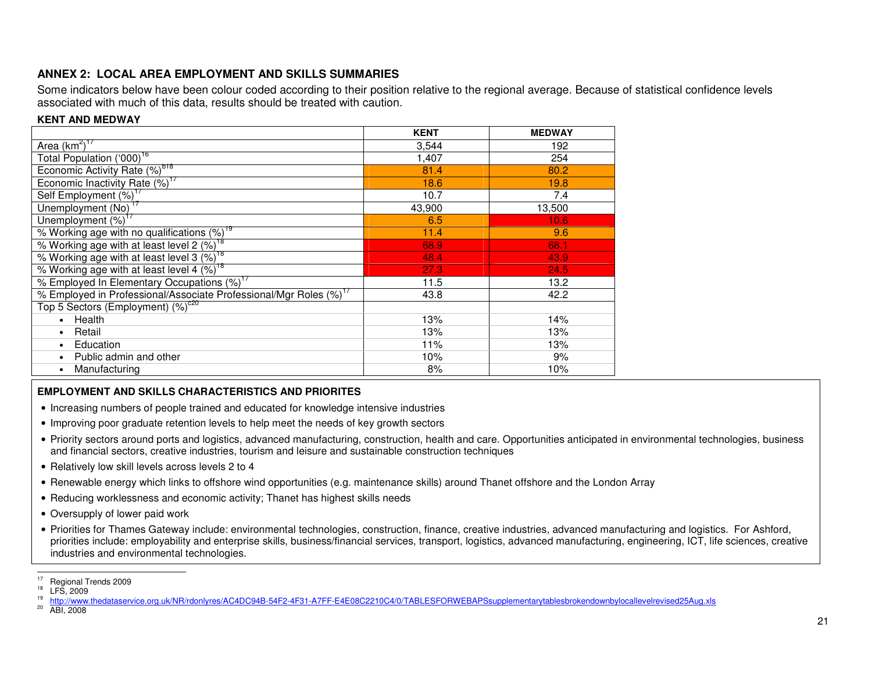#### **ANNEX 2: LOCAL AREA EMPLOYMENT AND SKILLS SUMMARIES**

 Some indicators below have been colour coded according to their position relative to the regional average. Because of statistical confidence levels associated with much of this data, results should be treated with caution.

#### **KENT AND MEDWAY**

|                                                                               | <b>KENT</b> | <b>MEDWAY</b> |
|-------------------------------------------------------------------------------|-------------|---------------|
| Area $(km^2)^{17}$                                                            | 3,544       | 192           |
| Total Population ('000) <sup>16</sup>                                         | 1,407       | 254           |
| Economic Activity Rate (%) <sup>b18</sup>                                     | 81.4        | 80.2          |
| Economic Inactivity Rate (%) <sup>17</sup>                                    | 18.6        | 19.8          |
| Self Employment (%) <sup>1</sup>                                              | 10.7        | 7.4           |
| Unemployment (No) <sup>17</sup>                                               | 43,900      | 13,500        |
| Unemployment (%) <sup>17</sup>                                                | 6.5         | 10.6          |
| % Working age with no qualifications (%) <sup>19</sup>                        | 11.4        | 9.6           |
| % Working age with at least level 2 (%) <sup>18</sup>                         | 68.9        | 68.1          |
| % Working age with at least level 3 (%) <sup>18</sup>                         | 48.4        | 43.9          |
| % Working age with at least level 4 (%) <sup>18</sup>                         | 27.3        | 24.5          |
| % Employed In Elementary Occupations (%) <sup>17</sup>                        | 11.5        | 13.2          |
| % Employed in Professional/Associate Professional/Mgr Roles (%) <sup>17</sup> | 43.8        | 42.2          |
| Top 5 Sectors (Employment) $(\%)^{\text{c20}}$                                |             |               |
| Health<br>$\bullet$                                                           | 13%         | 14%           |
| Retail<br>$\bullet$                                                           | 13%         | 13%           |
| Education                                                                     | 11%         | 13%           |
| Public admin and other                                                        | 10%         | 9%            |
| Manufacturing                                                                 | 8%          | 10%           |

#### **EMPLOYMENT AND SKILLS CHARACTERISTICS AND PRIORITES**

- Increasing numbers of people trained and educated for knowledge intensive industries
- Improving poor graduate retention levels to help meet the needs of key growth sectors
- Priority sectors around ports and logistics, advanced manufacturing, construction, health and care. Opportunities anticipated in environmental technologies, business and financial sectors, creative industries, tourism and leisure and sustainable construction techniques
- Relatively low skill levels across levels 2 to 4
- Renewable energy which links to offshore wind opportunities (e.g. maintenance skills) around Thanet offshore and the London Array
- Reducing worklessness and economic activity; Thanet has highest skills needs
- Oversupply of lower paid work
- Priorities for Thames Gateway include: environmental technologies, construction, finance, creative industries, advanced manufacturing and logistics. For Ashford, priorities include: employability and enterprise skills, business/financial services, transport, logistics, advanced manufacturing, engineering, ICT, life sciences, creative industries and environmental technologies.

 $17$  Regional Trends 2009<br> $18$  LFS, 2009

<sup>19</sup>

 http://www.thedataservice.org.uk/NR/rdonlyres/AC4DC94B-54F2-4F31-A7FF-E4E08C2210C4/0/TABLESFORWEBAPSsupplementarytablesbrokendownbylocallevelrevised25Aug.xls $^{20}$  ABI, 2008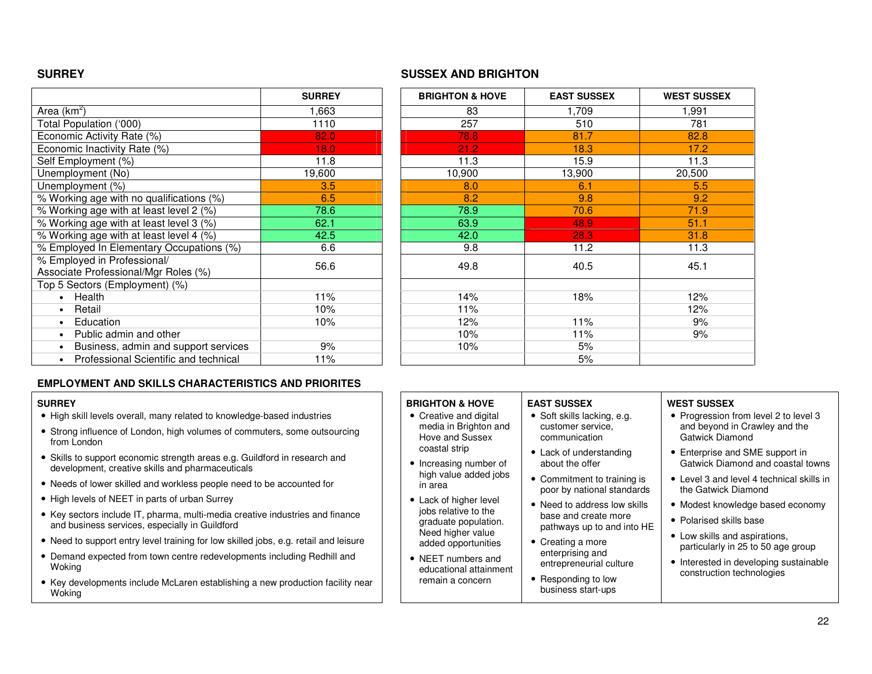#### **SURREY SUSSEX AND BRIGHTON**

**BRIGHTON & HOVE** 

Hove and Sussex coastal strip

• Increasing number of high value added jobs

• Lack of higher level jobs relative to the graduate population. Need higher value added opportunities • NEET numbers and educational attainment remain a concern

in area

|                                                                     | <b>SURREY</b> | <b>BRIGHTON &amp; HOVE</b> | <b>EAST SUSSEX</b> | <b>WEST SUS</b> |
|---------------------------------------------------------------------|---------------|----------------------------|--------------------|-----------------|
| Area (km <sup>2</sup> )                                             | 1,663         | 83                         | 1,709              | 1,991           |
| Total Population ('000)                                             | 1110          | 257                        | 510                | 781             |
| Economic Activity Rate (%)                                          | 82.0          | 78.8                       | 81.7               | 82.8            |
| Economic Inactivity Rate (%)                                        | 18.0          | 21.2                       | 18.3               | 17.2            |
| Self Employment (%)                                                 | 11.8          | 11.3                       | 15.9               | 11.3            |
| Unemployment (No)                                                   | 19,600        | 10,900                     | 13,900             | 20,500          |
| Unemployment (%)                                                    | 3.5           | 8.0                        | 6.1                | 5.5             |
| % Working age with no qualifications (%)                            | 6.5           | 8.2                        | 9.8                | 9.2             |
| % Working age with at least level 2 (%)                             | 78.6          | 78.9                       | 70.6               | 71.9            |
| % Working age with at least level 3 (%)                             | 62.1          | 63.9                       | 48.9               | 51.1            |
| % Working age with at least level 4 (%)                             | 42.5          | 42.0                       | 28.3               | 31.8            |
| % Employed In Elementary Occupations (%)                            | 6.6           | 9.8                        | 11.2               | 11.3            |
| % Employed in Professional/<br>Associate Professional/Mgr Roles (%) | 56.6          | 49.8                       | 40.5               | 45.1            |
| Top 5 Sectors (Employment) (%)                                      |               |                            |                    |                 |
| Health<br>$\bullet$                                                 | 11%           | 14%                        | 18%                | 12%             |
| Retail<br>$\bullet$                                                 | 10%           | 11%                        |                    | 12%             |
| Education<br>$\bullet$                                              | 10%           | 12%                        | 11%                | 9%              |
| Public admin and other<br>$\bullet$                                 |               | 10%                        | 11%                | 9%              |
| Business, admin and support services                                | 9%            | 10%                        | 5%                 |                 |
| Professional Scientific and technical                               | 11%           |                            | 5%                 |                 |

| <b>SURREY</b> | <b>BRIGHTON &amp; HOVE</b> | <b>EAST SUSSEX</b> | <b>WEST SUSSEX</b> |
|---------------|----------------------------|--------------------|--------------------|
| 1,663         | 83                         | 1,709              | 1,991              |
| 1110          | 257                        | 510                | 781                |
| 82.0          | 78.8                       | 81.7               | 82.8               |
| 18.0          | 21.2                       | 18.3               | 17.2               |
| 11.8          | 11.3                       | 15.9               | 11.3               |
| 19,600        | 10,900                     | 13,900             | 20,500             |
| 3.5           | 8.0                        | 6.1                | 5.5                |
| 6.5           | 8.2                        | 9.8                | 9.2                |
| 78.6          | 78.9                       | 70.6               | 71.9               |
| 62.1          | 63.9                       | 48.9               | 51.1               |
| 42.5          | 42.0                       | 28.3               | 31.8               |
| 6.6           | 9.8                        | 11.2               | 11.3               |
| 56.6          | 49.8                       | 40.5               | 45.1               |
|               |                            |                    |                    |
| 11%           | 14%                        | 18%                | 12%                |
| 10%           | 11%                        |                    | 12%                |
| 10%           | 12%                        | 11%                | 9%                 |
|               | 10%                        | 11%                | 9%                 |
| 9%            | 10%                        | 5%                 |                    |
| 11%           |                            | 5%                 |                    |

#### **EMPLOYMENT AND SKILLS CHARACTERISTICS AND PRIORITES**

#### **SURREY**

- High skill levels overall, many related to knowledge-based industries
- Strong influence of London, high volumes of commuters, some outsourcing from London
- Skills to support economic strength areas e.g. Guildford in research and development, creative skills and pharmaceuticals
- Needs of lower skilled and workless people need to be accounted for
- High levels of NEET in parts of urban Surrey
- Key sectors include IT, pharma, multi-media creative industries and finance and business services, especially in Guildford
- Need to support entry level training for low skilled jobs, e.g. retail and leisure
- Demand expected from town centre redevelopments including Redhill and Woking
- Key developments include McLaren establishing a new production facility near Woking

#### • Creative and digital media in Brighton and **EAST SUSSEX** • Soft skills lacking, e.g. customer service, communication

- Lack of understanding about the offer
- Commitment to training is poor by national standards
- Need to address low skills base and create more pathways up to and into HE
- Creating a more enterprising and entrepreneurial culture
- Responding to low business start-ups

#### **WEST SUSSEX**

- Progression from level 2 to level 3 and beyond in Crawley and the Gatwick Diamond
- Enterprise and SME support in Gatwick Diamond and coastal towns
- Level 3 and level 4 technical skills in the Gatwick Diamond
- Modest knowledge based economy
- Polarised skills base
- Low skills and aspirations, particularly in 25 to 50 age group
- Interested in developing sustainable construction technologies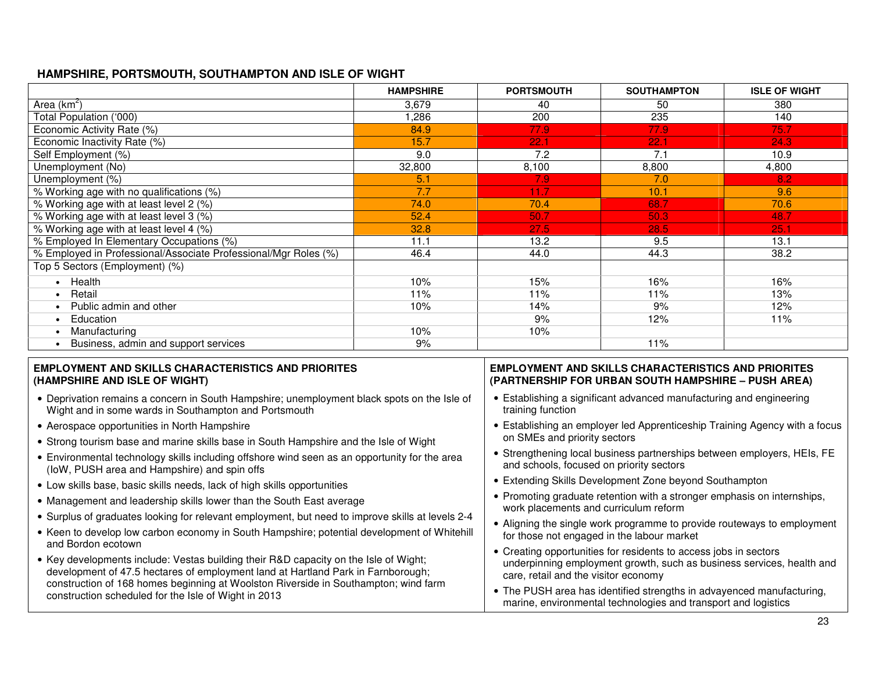#### **HAMPSHIRE, PORTSMOUTH, SOUTHAMPTON AND ISLE OF WIGHT**

|                                                                 | <b>HAMPSHIRE</b> | <b>PORTSMOUTH</b> | <b>SOUTHAMPTON</b> | <b>ISLE OF WIGHT</b> |
|-----------------------------------------------------------------|------------------|-------------------|--------------------|----------------------|
| Area $(km^2)$                                                   | 3,679            | 40                | 50                 | 380                  |
| Total Population ('000)                                         | ,286             | 200               | 235                | 140                  |
| Economic Activity Rate (%)                                      | 84.9             | 77.9              | 77.9               | 75.7                 |
| Economic Inactivity Rate (%)                                    | 15.7             | 22.1              | 22.1               | 24.3                 |
| Self Employment (%)                                             | 9.0              | 7.2               | 7.1                | 10.9                 |
| Unemployment (No)                                               | 32,800           | 8,100             | 8,800              | 4,800                |
| Unemployment (%)                                                | 5.1              | 7.9               | 7.0                | 8.2                  |
| % Working age with no qualifications (%)                        | 7.7              | 11.7              | 10.1               | 9.6                  |
| % Working age with at least level 2 (%)                         | 74.0             | 70.4              | 68.7               | 70.6                 |
| % Working age with at least level 3 (%)                         | 52.4             | 50.7              | 50.3               | 48.7                 |
| % Working age with at least level 4 (%)                         | 32.8             | 27.5              | 28.5               | 25.1                 |
| % Employed In Elementary Occupations (%)                        | 11.1             | 13.2              | 9.5                | 13.1                 |
| % Employed in Professional/Associate Professional/Mgr Roles (%) | 46.4             | 44.0              | 44.3               | 38.2                 |
| Top 5 Sectors (Employment) (%)                                  |                  |                   |                    |                      |
| Health                                                          | 10%              | 15%               | 16%                | 16%                  |
| Retail                                                          | 11%              | 11%               | 11%                | 13%                  |
| Public admin and other                                          | 10%              | 14%               | 9%                 | 12%                  |
| Education                                                       |                  | 9%                | 12%                | 11%                  |
| Manufacturing                                                   | 10%              | 10%               |                    |                      |
| Business, admin and support services                            | 9%               |                   | 11%                |                      |

#### **EMPLOYMENT AND SKILLS CHARACTERISTICS AND PRIORITES(HAMPSHIRE AND ISLE OF WIGHT)**

- Deprivation remains a concern in South Hampshire; unemployment black spots on the Isle of Wight and in some wards in Southampton and Portsmouth
- Aerospace opportunities in North Hampshire
- Strong tourism base and marine skills base in South Hampshire and the Isle of Wight
- Environmental technology skills including offshore wind seen as an opportunity for the area (IoW, PUSH area and Hampshire) and spin offs
- Low skills base, basic skills needs, lack of high skills opportunities
- Management and leadership skills lower than the South East average
- Surplus of graduates looking for relevant employment, but need to improve skills at levels 2-4
- Keen to develop low carbon economy in South Hampshire; potential development of Whitehill and Bordon ecotown
- Key developments include: Vestas building their R&D capacity on the Isle of Wight; development of 47.5 hectares of employment land at Hartland Park in Farnborough; construction of 168 homes beginning at Woolston Riverside in Southampton; wind farm construction scheduled for the Isle of Wight in 2013

#### **EMPLOYMENT AND SKILLS CHARACTERISTICS AND PRIORITES(PARTNERSHIP FOR URBAN SOUTH HAMPSHIRE – PUSH AREA)**

- Establishing a significant advanced manufacturing and engineering training function
- Establishing an employer led Apprenticeship Training Agency with a focus on SMEs and priority sectors
- Strengthening local business partnerships between employers, HEIs, FE and schools, focused on priority sectors
- Extending Skills Development Zone beyond Southampton
- Promoting graduate retention with a stronger emphasis on internships, work placements and curriculum reform
- Aligning the single work programme to provide routeways to employment for those not engaged in the labour market
- Creating opportunities for residents to access jobs in sectors underpinning employment growth, such as business services, health and care, retail and the visitor economy
- The PUSH area has identified strengths in advayenced manufacturing, marine, environmental technologies and transport and logistics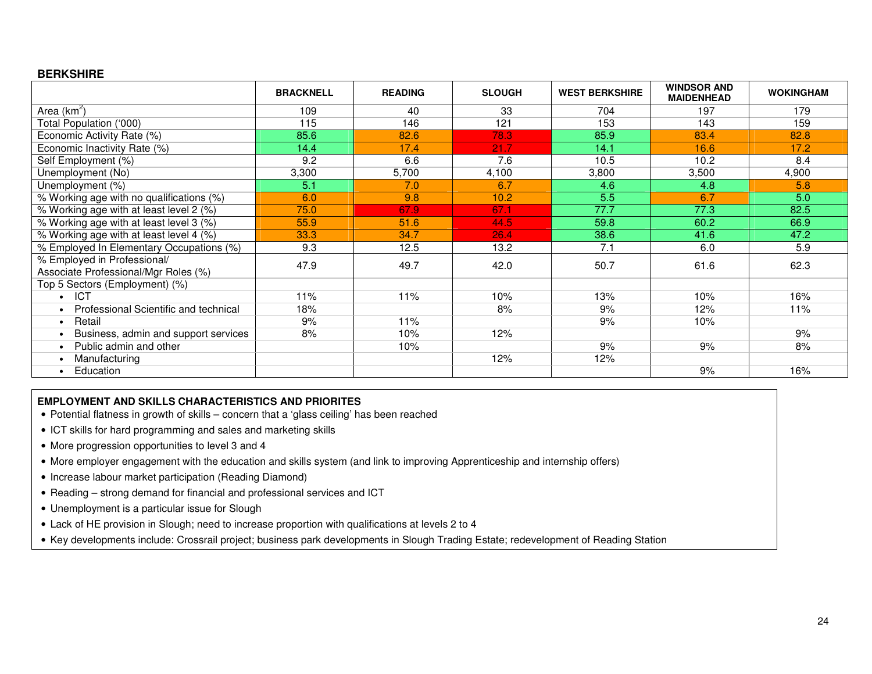#### **BERKSHIRE**

|                                          | <b>BRACKNELL</b> | <b>READING</b> | <b>SLOUGH</b> | <b>WEST BERKSHIRE</b> | <b>WINDSOR AND</b><br><b>MAIDENHEAD</b> | <b>WOKINGHAM</b> |
|------------------------------------------|------------------|----------------|---------------|-----------------------|-----------------------------------------|------------------|
| Area $(km^2)$                            | 109              | 40             | 33            | 704                   | 197                                     | 179              |
| Total Population ('000)                  | 115              | 146            | 121           | 153                   | 143                                     | 159              |
| Economic Activity Rate (%)               | 85.6             | 82.6           | 78.3          | 85.9                  | 83.4                                    | 82.8             |
| Economic Inactivity Rate (%)             | 14.4             | 17.4           | 21.7          | 14.1                  | 16.6                                    | 17.2             |
| Self Employment (%)                      | 9.2              | 6.6            | 7.6           | 10.5                  | 10.2                                    | 8.4              |
| Unemployment (No)                        | 3,300            | 5,700          | 4,100         | 3,800                 | 3,500                                   | 4,900            |
| Unemployment (%)                         | 5.1              | 7.0            | 6.7           | 4.6                   | 4.8                                     | 5.8              |
| % Working age with no qualifications (%) | 6.0              | 9.8            | 10.2          | 5.5                   | 6.7                                     | 5.0              |
| % Working age with at least level 2 (%)  | 75.0             | 67.9           | 67.1          | 77.7                  | 77.3                                    | 82.5             |
| % Working age with at least level 3 (%)  | 55.9             | 51.6           | 44.5          | 59.8                  | 60.2                                    | 66.9             |
| % Working age with at least level 4 (%)  | 33.3             | 34.7           | 26.4          | 38.6                  | 41.6                                    | 47.2             |
| % Employed In Elementary Occupations (%) | 9.3              | 12.5           | 13.2          | 7.1                   | 6.0                                     | 5.9              |
| % Employed in Professional/              | 47.9             | 49.7           | 42.0          | 50.7                  | 61.6                                    | 62.3             |
| Associate Professional/Mgr Roles (%)     |                  |                |               |                       |                                         |                  |
| Top 5 Sectors (Employment) (%)           |                  |                |               |                       |                                         |                  |
| <b>ICT</b>                               | 11%              | 11%            | 10%           | 13%                   | 10%                                     | 16%              |
| Professional Scientific and technical    | 18%              |                | 8%            | 9%                    | 12%                                     | 11%              |
| Retail                                   | 9%               | 11%            |               | 9%                    | 10%                                     |                  |
| Business, admin and support services     | 8%               | 10%            | 12%           |                       |                                         | 9%               |
| Public admin and other                   |                  | 10%            |               | 9%                    | 9%                                      | 8%               |
| Manufacturing                            |                  |                | 12%           | 12%                   |                                         |                  |
| Education                                |                  |                |               |                       | 9%                                      | 16%              |

#### **EMPLOYMENT AND SKILLS CHARACTERISTICS AND PRIORITES**

- Potential flatness in growth of skills concern that a 'glass ceiling' has been reached
- ICT skills for hard programming and sales and marketing skills
- More progression opportunities to level 3 and 4
- More employer engagement with the education and skills system (and link to improving Apprenticeship and internship offers)
- Increase labour market participation (Reading Diamond)
- Reading strong demand for financial and professional services and ICT
- Unemployment is a particular issue for Slough
- Lack of HE provision in Slough; need to increase proportion with qualifications at levels 2 to 4
- Key developments include: Crossrail project; business park developments in Slough Trading Estate; redevelopment of Reading Station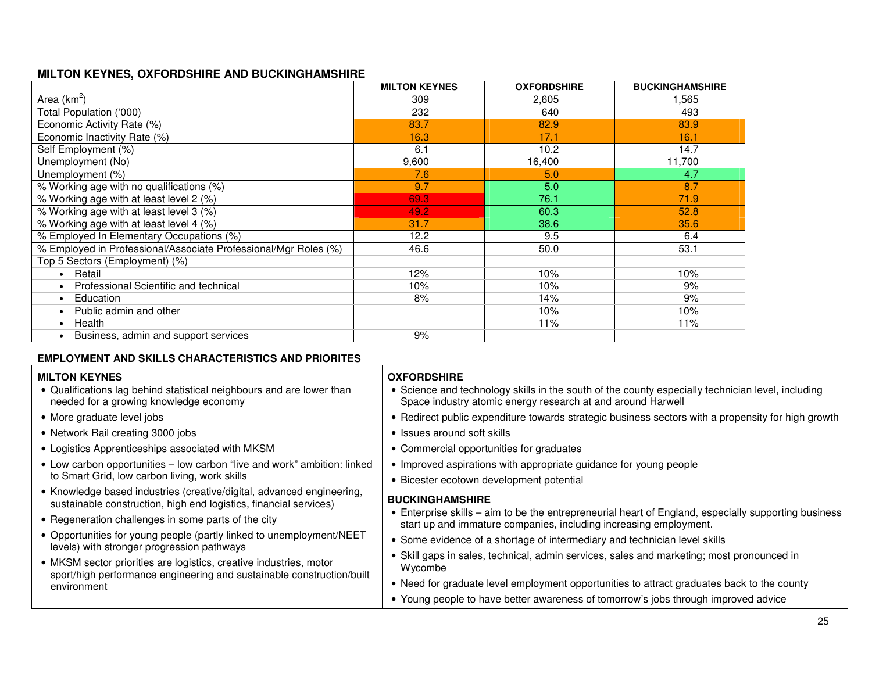## **MILTON KEYNES, OXFORDSHIRE AND BUCKINGHAMSHIRE**

|                                                                 | <b>MILTON KEYNES</b> | <b>OXFORDSHIRE</b> | <b>BUCKINGHAMSHIRE</b> |
|-----------------------------------------------------------------|----------------------|--------------------|------------------------|
| Area $(km^2)$                                                   | 309                  | 2,605              | 1,565                  |
| Total Population ('000)                                         | 232                  | 640                | 493                    |
| Economic Activity Rate (%)                                      | 83.7                 | 82.9               | 83.9                   |
| Economic Inactivity Rate (%)                                    | 16.3                 | 17.1               | 16.1                   |
| Self Employment (%)                                             | 6.1                  | 10.2               | 14.7                   |
| Unemployment (No)                                               | 9,600                | 16,400             | 11,700                 |
| Unemployment (%)                                                | 7.6                  | 5.0                | 4.7                    |
| % Working age with no qualifications (%)                        | 9.7                  | 5.0                | 8.7                    |
| % Working age with at least level 2 (%)                         | 69.3                 | 76.1               | 71.9                   |
| % Working age with at least level 3 (%)                         | 49.2                 | 60.3               | 52.8                   |
| % Working age with at least level 4 (%)                         | 31.7                 | 38.6               | 35.6                   |
| % Employed In Elementary Occupations (%)                        | 12.2                 | 9.5                | 6.4                    |
| % Employed in Professional/Associate Professional/Mgr Roles (%) | 46.6                 | 50.0               | 53.1                   |
| Top 5 Sectors (Employment) (%)                                  |                      |                    |                        |
| Retail<br>$\bullet$                                             | 12%                  | 10%                | 10%                    |
| Professional Scientific and technical                           | 10%                  | 10%                | 9%                     |
| Education<br>$\bullet$                                          | 8%                   | 14%                | 9%                     |
| Public admin and other                                          |                      | 10%                | 10%                    |
| Health<br>$\bullet$                                             |                      | 11%                | 11%                    |
| Business, admin and support services                            | 9%                   |                    |                        |

#### **EMPLOYMENT AND SKILLS CHARACTERISTICS AND PRIORITES**

| <b>MILTON KEYNES</b><br>• Qualifications lag behind statistical neighbours and are lower than<br>needed for a growing knowledge economy                                                                                                                           | <b>OXFORDSHIRE</b><br>• Science and technology skills in the south of the county especially technician level, including<br>Space industry atomic energy research at and around Harwell                                                                                           |  |
|-------------------------------------------------------------------------------------------------------------------------------------------------------------------------------------------------------------------------------------------------------------------|----------------------------------------------------------------------------------------------------------------------------------------------------------------------------------------------------------------------------------------------------------------------------------|--|
| • More graduate level jobs                                                                                                                                                                                                                                        | • Redirect public expenditure towards strategic business sectors with a propensity for high growth                                                                                                                                                                               |  |
| • Network Rail creating 3000 jobs                                                                                                                                                                                                                                 | • Issues around soft skills                                                                                                                                                                                                                                                      |  |
| • Logistics Apprenticeships associated with MKSM                                                                                                                                                                                                                  | • Commercial opportunities for graduates                                                                                                                                                                                                                                         |  |
| • Low carbon opportunities - low carbon "live and work" ambition: linked<br>to Smart Grid, low carbon living, work skills                                                                                                                                         | • Improved aspirations with appropriate guidance for young people<br>• Bicester ecotown development potential                                                                                                                                                                    |  |
| • Knowledge based industries (creative/digital, advanced engineering,<br>sustainable construction, high end logistics, financial services)<br>• Regeneration challenges in some parts of the city                                                                 | <b>BUCKINGHAMSHIRE</b><br>• Enterprise skills – aim to be the entrepreneurial heart of England, especially supporting business<br>start up and immature companies, including increasing employment.<br>• Some evidence of a shortage of intermediary and technician level skills |  |
| • Opportunities for young people (partly linked to unemployment/NEET<br>levels) with stronger progression pathways<br>• MKSM sector priorities are logistics, creative industries, motor<br>sport/high performance engineering and sustainable construction/built |                                                                                                                                                                                                                                                                                  |  |
|                                                                                                                                                                                                                                                                   | • Skill gaps in sales, technical, admin services, sales and marketing; most pronounced in<br>Wycombe                                                                                                                                                                             |  |
| environment                                                                                                                                                                                                                                                       | • Need for graduate level employment opportunities to attract graduates back to the county                                                                                                                                                                                       |  |
|                                                                                                                                                                                                                                                                   | • Young people to have better awareness of tomorrow's jobs through improved advice                                                                                                                                                                                               |  |